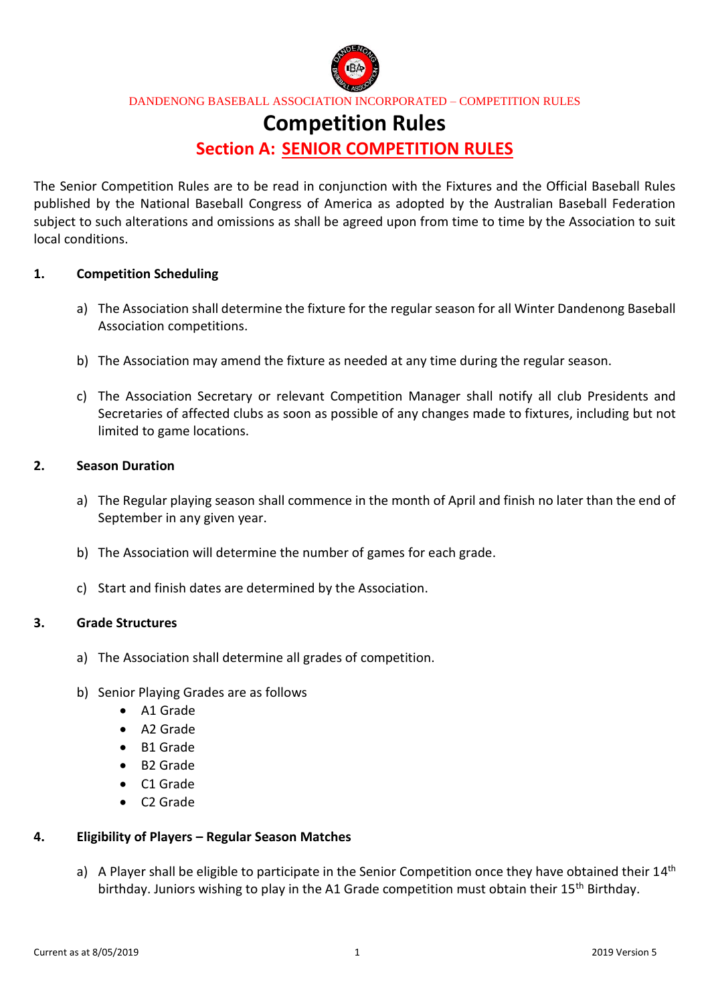

# **Competition Rules**

# **Section A: SENIOR COMPETITION RULES**

The Senior Competition Rules are to be read in conjunction with the Fixtures and the Official Baseball Rules published by the National Baseball Congress of America as adopted by the Australian Baseball Federation subject to such alterations and omissions as shall be agreed upon from time to time by the Association to suit local conditions.

#### **1. Competition Scheduling**

- a) The Association shall determine the fixture for the regular season for all Winter Dandenong Baseball Association competitions.
- b) The Association may amend the fixture as needed at any time during the regular season.
- c) The Association Secretary or relevant Competition Manager shall notify all club Presidents and Secretaries of affected clubs as soon as possible of any changes made to fixtures, including but not limited to game locations.

#### **2. Season Duration**

- a) The Regular playing season shall commence in the month of April and finish no later than the end of September in any given year.
- b) The Association will determine the number of games for each grade.
- c) Start and finish dates are determined by the Association.

### **3. Grade Structures**

- a) The Association shall determine all grades of competition.
- b) Senior Playing Grades are as follows
	- A1 Grade
	- A2 Grade
	- B1 Grade
	- B2 Grade
	- C1 Grade
	- C2 Grade

### **4. Eligibility of Players – Regular Season Matches**

a) A Player shall be eligible to participate in the Senior Competition once they have obtained their 14<sup>th</sup> birthday. Juniors wishing to play in the A1 Grade competition must obtain their 15<sup>th</sup> Birthday.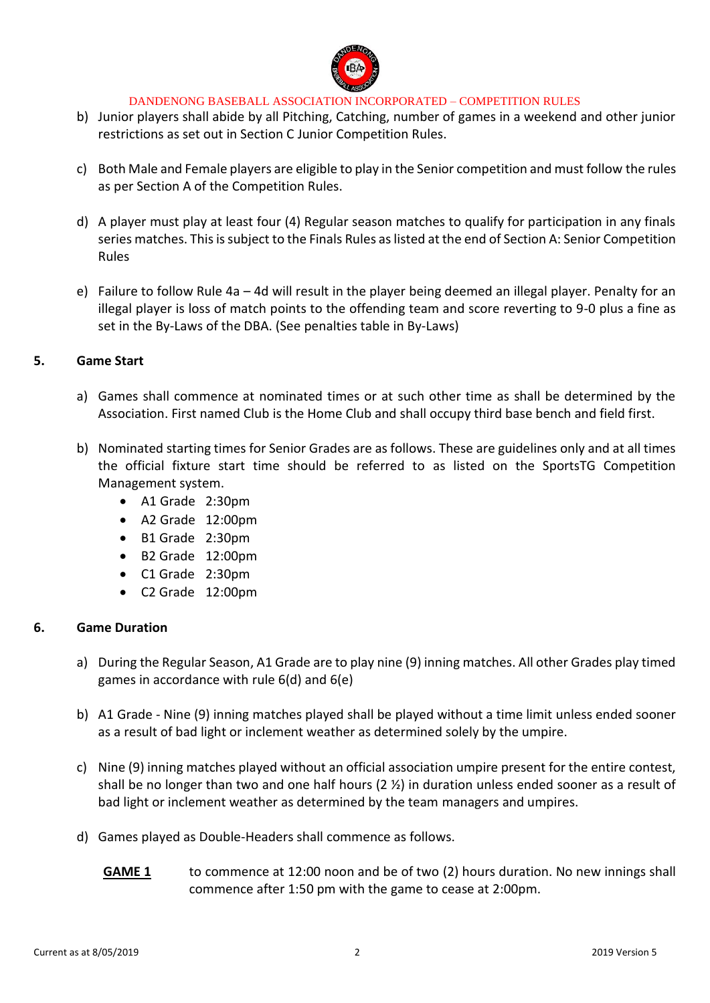

- b) Junior players shall abide by all Pitching, Catching, number of games in a weekend and other junior restrictions as set out in Section C Junior Competition Rules.
- c) Both Male and Female players are eligible to play in the Senior competition and must follow the rules as per Section A of the Competition Rules.
- d) A player must play at least four (4) Regular season matches to qualify for participation in any finals series matches. This is subject to the Finals Rules as listed at the end of Section A: Senior Competition Rules
- e) Failure to follow Rule 4a 4d will result in the player being deemed an illegal player. Penalty for an illegal player is loss of match points to the offending team and score reverting to 9-0 plus a fine as set in the By-Laws of the DBA. (See penalties table in By-Laws)

### **5. Game Start**

- a) Games shall commence at nominated times or at such other time as shall be determined by the Association. First named Club is the Home Club and shall occupy third base bench and field first.
- b) Nominated starting times for Senior Grades are as follows. These are guidelines only and at all times the official fixture start time should be referred to as listed on the SportsTG Competition Management system.
	- A1 Grade 2:30pm
	- A2 Grade 12:00pm
	- B1 Grade 2:30pm
	- B2 Grade 12:00pm
	- C1 Grade 2:30pm
	- C2 Grade 12:00pm

### **6. Game Duration**

- a) During the Regular Season, A1 Grade are to play nine (9) inning matches. All other Grades play timed games in accordance with rule 6(d) and 6(e)
- b) A1 Grade Nine (9) inning matches played shall be played without a time limit unless ended sooner as a result of bad light or inclement weather as determined solely by the umpire.
- c) Nine (9) inning matches played without an official association umpire present for the entire contest, shall be no longer than two and one half hours (2 ½) in duration unless ended sooner as a result of bad light or inclement weather as determined by the team managers and umpires.
- d) Games played as Double-Headers shall commence as follows.
	- **GAME 1** to commence at 12:00 noon and be of two (2) hours duration. No new innings shall commence after 1:50 pm with the game to cease at 2:00pm.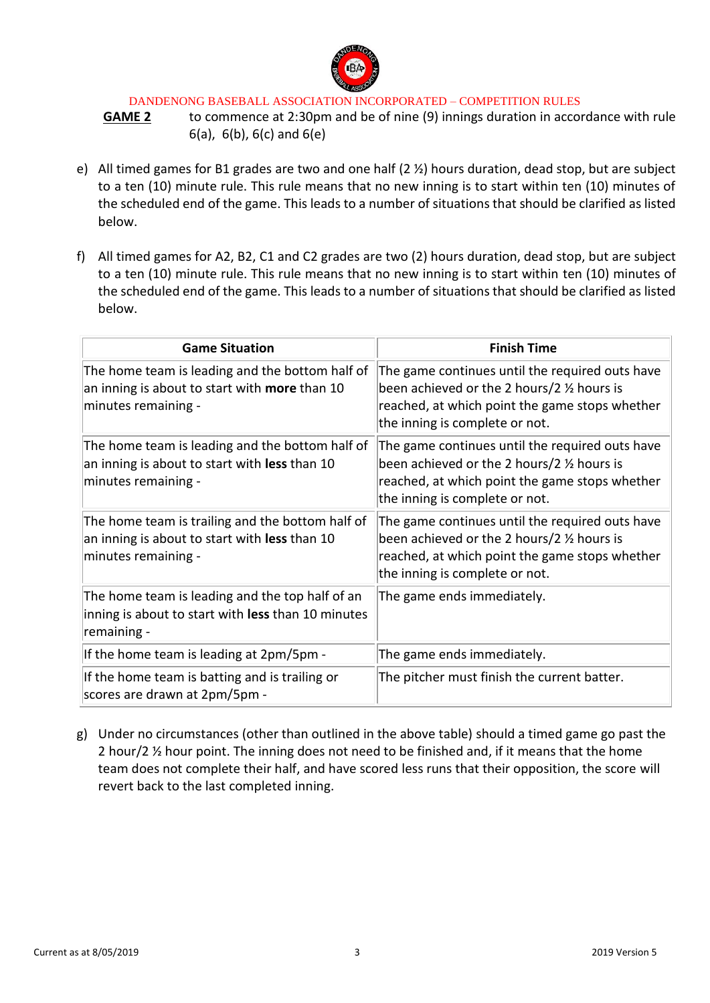

**GAME 2** to commence at 2:30pm and be of nine (9) innings duration in accordance with rule 6(a), 6(b), 6(c) and 6(e)

- e) All timed games for B1 grades are two and one half (2 ½) hours duration, dead stop, but are subject to a ten (10) minute rule. This rule means that no new inning is to start within ten (10) minutes of the scheduled end of the game. This leads to a number of situations that should be clarified as listed below.
- f) All timed games for A2, B2, C1 and C2 grades are two (2) hours duration, dead stop, but are subject to a ten (10) minute rule. This rule means that no new inning is to start within ten (10) minutes of the scheduled end of the game. This leads to a number of situations that should be clarified as listed below.

| <b>Game Situation</b>                                                                                                    | <b>Finish Time</b>                                                                                                                                                                           |  |
|--------------------------------------------------------------------------------------------------------------------------|----------------------------------------------------------------------------------------------------------------------------------------------------------------------------------------------|--|
| The home team is leading and the bottom half of<br>an inning is about to start with more than 10<br>minutes remaining -  | The game continues until the required outs have<br>been achieved or the 2 hours/2 1/2 hours is<br>reached, at which point the game stops whether<br>the inning is complete or not.           |  |
| The home team is leading and the bottom half of<br>an inning is about to start with less than 10<br>minutes remaining -  | The game continues until the required outs have<br>been achieved or the 2 hours/2 $\frac{1}{2}$ hours is<br>reached, at which point the game stops whether<br>the inning is complete or not. |  |
| The home team is trailing and the bottom half of<br>an inning is about to start with less than 10<br>minutes remaining - | The game continues until the required outs have<br>been achieved or the 2 hours/2 $\frac{1}{2}$ hours is<br>reached, at which point the game stops whether<br>the inning is complete or not. |  |
| The home team is leading and the top half of an<br>inning is about to start with less than 10 minutes<br>remaining -     | The game ends immediately.                                                                                                                                                                   |  |
| If the home team is leading at 2pm/5pm -                                                                                 | The game ends immediately.                                                                                                                                                                   |  |
| If the home team is batting and is trailing or<br>scores are drawn at 2pm/5pm -                                          | The pitcher must finish the current batter.                                                                                                                                                  |  |

g) Under no circumstances (other than outlined in the above table) should a timed game go past the 2 hour/2 ½ hour point. The inning does not need to be finished and, if it means that the home team does not complete their half, and have scored less runs that their opposition, the score will revert back to the last completed inning.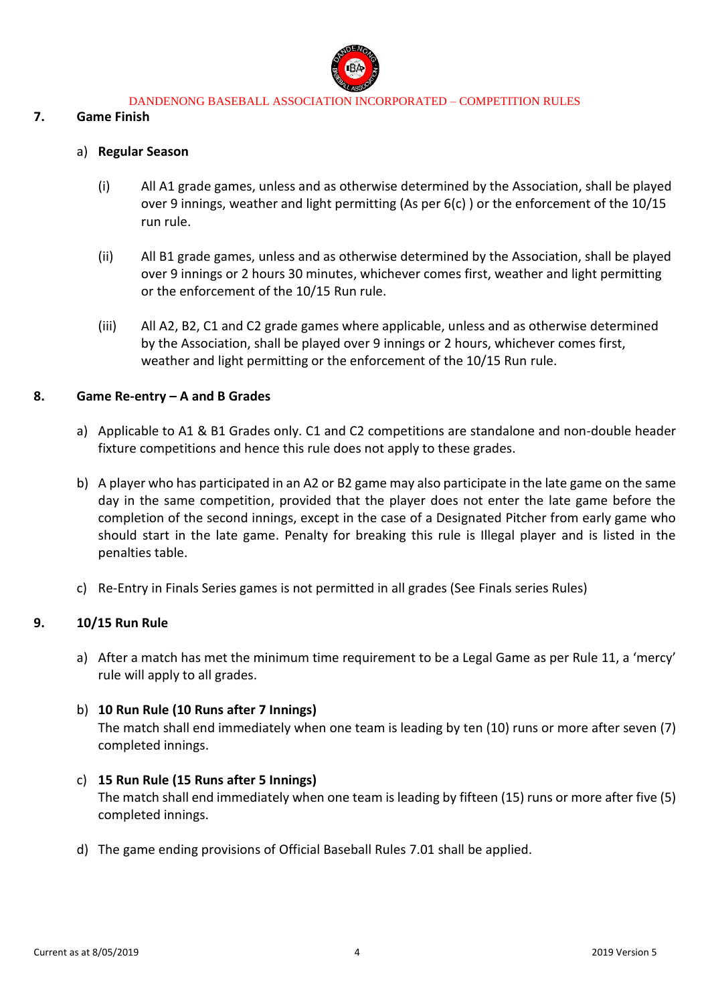

### **7. Game Finish**

### a) **Regular Season**

- (i) All A1 grade games, unless and as otherwise determined by the Association, shall be played over 9 innings, weather and light permitting (As per 6(c) ) or the enforcement of the 10/15 run rule.
- (ii) All B1 grade games, unless and as otherwise determined by the Association, shall be played over 9 innings or 2 hours 30 minutes, whichever comes first, weather and light permitting or the enforcement of the 10/15 Run rule.
- (iii) All A2, B2, C1 and C2 grade games where applicable, unless and as otherwise determined by the Association, shall be played over 9 innings or 2 hours, whichever comes first, weather and light permitting or the enforcement of the 10/15 Run rule.

### **8. Game Re-entry – A and B Grades**

- a) Applicable to A1 & B1 Grades only. C1 and C2 competitions are standalone and non-double header fixture competitions and hence this rule does not apply to these grades.
- b) A player who has participated in an A2 or B2 game may also participate in the late game on the same day in the same competition, provided that the player does not enter the late game before the completion of the second innings, except in the case of a Designated Pitcher from early game who should start in the late game. Penalty for breaking this rule is Illegal player and is listed in the penalties table.
- c) Re-Entry in Finals Series games is not permitted in all grades (See Finals series Rules)

### **9. 10/15 Run Rule**

a) After a match has met the minimum time requirement to be a Legal Game as per Rule 11, a 'mercy' rule will apply to all grades.

### b) **10 Run Rule (10 Runs after 7 Innings)**

The match shall end immediately when one team is leading by ten (10) runs or more after seven (7) completed innings.

- c) **15 Run Rule (15 Runs after 5 Innings)** The match shall end immediately when one team is leading by fifteen (15) runs or more after five (5) completed innings.
- d) The game ending provisions of Official Baseball Rules 7.01 shall be applied.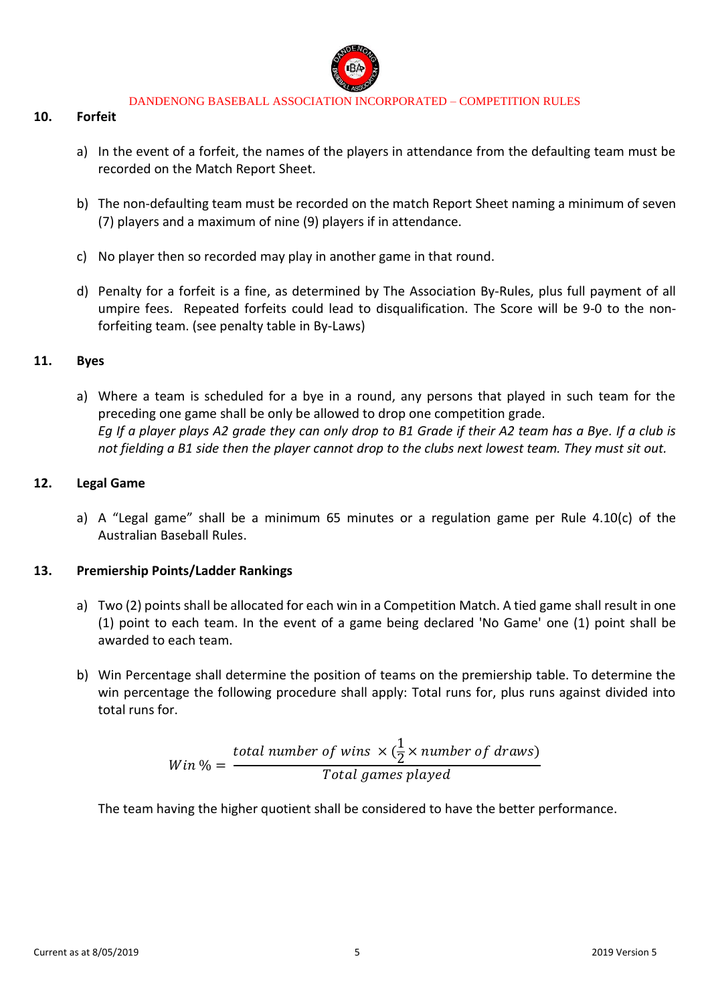

### **10. Forfeit**

- a) In the event of a forfeit, the names of the players in attendance from the defaulting team must be recorded on the Match Report Sheet.
- b) The non-defaulting team must be recorded on the match Report Sheet naming a minimum of seven (7) players and a maximum of nine (9) players if in attendance.
- c) No player then so recorded may play in another game in that round.
- d) Penalty for a forfeit is a fine, as determined by The Association By-Rules, plus full payment of all umpire fees. Repeated forfeits could lead to disqualification. The Score will be 9-0 to the nonforfeiting team. (see penalty table in By-Laws)

### **11. Byes**

a) Where a team is scheduled for a bye in a round, any persons that played in such team for the preceding one game shall be only be allowed to drop one competition grade. *Eg If a player plays A2 grade they can only drop to B1 Grade if their A2 team has a Bye. If a club is not fielding a B1 side then the player cannot drop to the clubs next lowest team. They must sit out.*

#### **12. Legal Game**

a) A "Legal game" shall be a minimum 65 minutes or a regulation game per Rule  $4.10(c)$  of the Australian Baseball Rules.

### **13. Premiership Points/Ladder Rankings**

- a) Two (2) points shall be allocated for each win in a Competition Match. A tied game shall result in one (1) point to each team. In the event of a game being declared 'No Game' one (1) point shall be awarded to each team.
- b) Win Percentage shall determine the position of teams on the premiership table. To determine the win percentage the following procedure shall apply: Total runs for, plus runs against divided into total runs for.

$$
Win\% = \frac{total\ number\ of\ wins \times (\frac{1}{2} \times number\ of\ draws)}{Total\ games\ played}
$$

The team having the higher quotient shall be considered to have the better performance.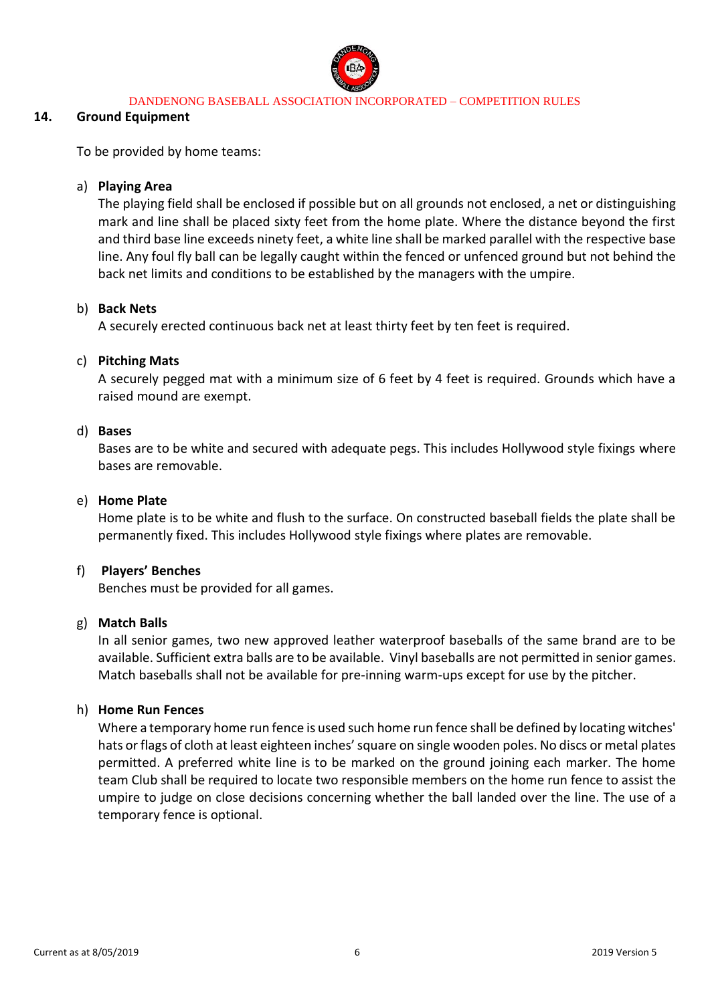

### **14. Ground Equipment**

To be provided by home teams:

### a) **Playing Area**

The playing field shall be enclosed if possible but on all grounds not enclosed, a net or distinguishing mark and line shall be placed sixty feet from the home plate. Where the distance beyond the first and third base line exceeds ninety feet, a white line shall be marked parallel with the respective base line. Any foul fly ball can be legally caught within the fenced or unfenced ground but not behind the back net limits and conditions to be established by the managers with the umpire.

### b) **Back Nets**

A securely erected continuous back net at least thirty feet by ten feet is required.

### c) **Pitching Mats**

A securely pegged mat with a minimum size of 6 feet by 4 feet is required. Grounds which have a raised mound are exempt.

### d) **Bases**

Bases are to be white and secured with adequate pegs. This includes Hollywood style fixings where bases are removable.

### e) **Home Plate**

Home plate is to be white and flush to the surface. On constructed baseball fields the plate shall be permanently fixed. This includes Hollywood style fixings where plates are removable.

### f) **Players' Benches**

Benches must be provided for all games.

### g) **Match Balls**

In all senior games, two new approved leather waterproof baseballs of the same brand are to be available. Sufficient extra balls are to be available. Vinyl baseballs are not permitted in senior games. Match baseballs shall not be available for pre-inning warm-ups except for use by the pitcher.

### h) **Home Run Fences**

Where a temporary home run fence is used such home run fence shall be defined by locating witches' hats or flags of cloth at least eighteen inches' square on single wooden poles. No discs or metal plates permitted. A preferred white line is to be marked on the ground joining each marker. The home team Club shall be required to locate two responsible members on the home run fence to assist the umpire to judge on close decisions concerning whether the ball landed over the line. The use of a temporary fence is optional.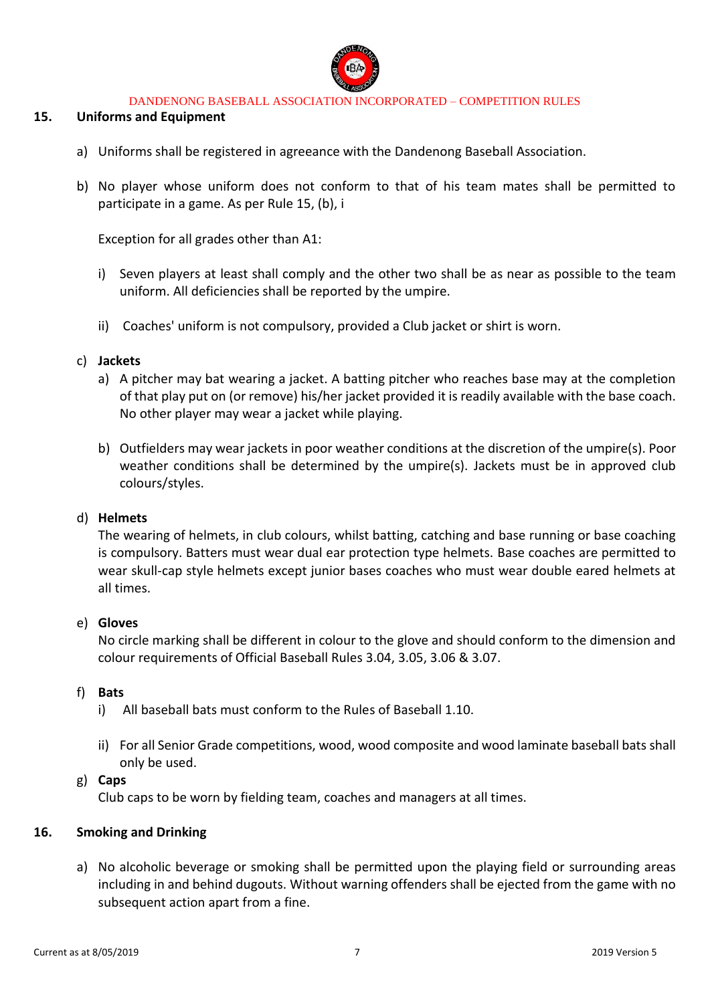

### **15. Uniforms and Equipment**

- a) Uniforms shall be registered in agreeance with the Dandenong Baseball Association.
- b) No player whose uniform does not conform to that of his team mates shall be permitted to participate in a game. As per Rule 15, (b), i

Exception for all grades other than A1:

- i) Seven players at least shall comply and the other two shall be as near as possible to the team uniform. All deficiencies shall be reported by the umpire.
- ii) Coaches' uniform is not compulsory, provided a Club jacket or shirt is worn.

#### c) **Jackets**

- a) A pitcher may bat wearing a jacket. A batting pitcher who reaches base may at the completion of that play put on (or remove) his/her jacket provided it is readily available with the base coach. No other player may wear a jacket while playing.
- b) Outfielders may wear jackets in poor weather conditions at the discretion of the umpire(s). Poor weather conditions shall be determined by the umpire(s). Jackets must be in approved club colours/styles.

#### d) **Helmets**

The wearing of helmets, in club colours, whilst batting, catching and base running or base coaching is compulsory. Batters must wear dual ear protection type helmets. Base coaches are permitted to wear skull-cap style helmets except junior bases coaches who must wear double eared helmets at all times.

#### e) **Gloves**

No circle marking shall be different in colour to the glove and should conform to the dimension and colour requirements of Official Baseball Rules 3.04, 3.05, 3.06 & 3.07.

#### f) **Bats**

- i) All baseball bats must conform to the Rules of Baseball 1.10.
- ii) For all Senior Grade competitions, wood, wood composite and wood laminate baseball bats shall only be used.

#### g) **Caps**

Club caps to be worn by fielding team, coaches and managers at all times.

### **16. Smoking and Drinking**

a) No alcoholic beverage or smoking shall be permitted upon the playing field or surrounding areas including in and behind dugouts. Without warning offenders shall be ejected from the game with no subsequent action apart from a fine.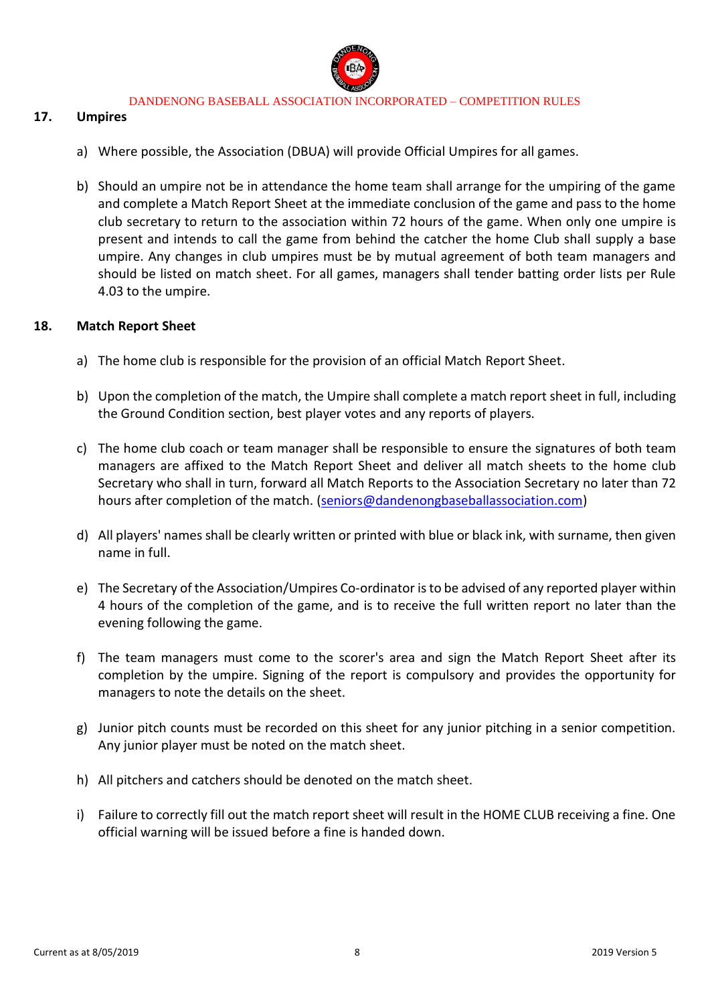

#### **17. Umpires**

- a) Where possible, the Association (DBUA) will provide Official Umpires for all games.
- b) Should an umpire not be in attendance the home team shall arrange for the umpiring of the game and complete a Match Report Sheet at the immediate conclusion of the game and pass to the home club secretary to return to the association within 72 hours of the game. When only one umpire is present and intends to call the game from behind the catcher the home Club shall supply a base umpire. Any changes in club umpires must be by mutual agreement of both team managers and should be listed on match sheet. For all games, managers shall tender batting order lists per Rule 4.03 to the umpire.

#### **18. Match Report Sheet**

- a) The home club is responsible for the provision of an official Match Report Sheet.
- b) Upon the completion of the match, the Umpire shall complete a match report sheet in full, including the Ground Condition section, best player votes and any reports of players.
- c) The home club coach or team manager shall be responsible to ensure the signatures of both team managers are affixed to the Match Report Sheet and deliver all match sheets to the home club Secretary who shall in turn, forward all Match Reports to the Association Secretary no later than 72 hours after completion of the match. [\(seniors@dandenongbaseballassociation.com\)](mailto:seniors@dandenongbaseballassociation.com)
- d) All players' names shall be clearly written or printed with blue or black ink, with surname, then given name in full.
- e) The Secretary of the Association/Umpires Co-ordinator is to be advised of any reported player within 4 hours of the completion of the game, and is to receive the full written report no later than the evening following the game.
- f) The team managers must come to the scorer's area and sign the Match Report Sheet after its completion by the umpire. Signing of the report is compulsory and provides the opportunity for managers to note the details on the sheet.
- g) Junior pitch counts must be recorded on this sheet for any junior pitching in a senior competition. Any junior player must be noted on the match sheet.
- h) All pitchers and catchers should be denoted on the match sheet.
- i) Failure to correctly fill out the match report sheet will result in the HOME CLUB receiving a fine. One official warning will be issued before a fine is handed down.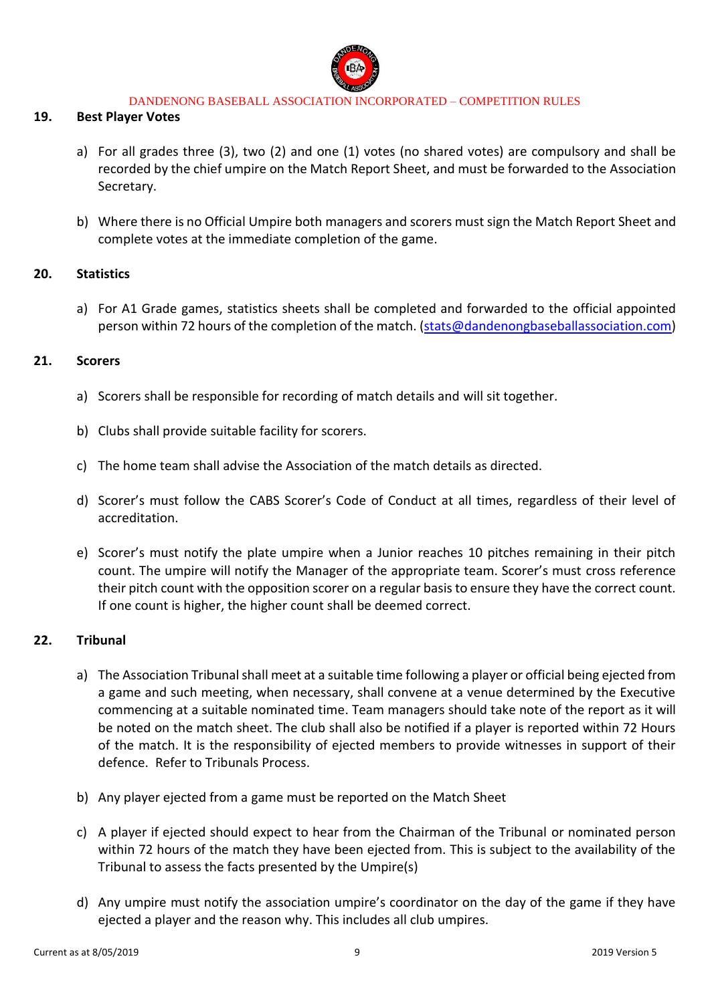

#### **19. Best Player Votes**

- a) For all grades three (3), two (2) and one (1) votes (no shared votes) are compulsory and shall be recorded by the chief umpire on the Match Report Sheet, and must be forwarded to the Association Secretary.
- b) Where there is no Official Umpire both managers and scorers must sign the Match Report Sheet and complete votes at the immediate completion of the game.

#### **20. Statistics**

a) For A1 Grade games, statistics sheets shall be completed and forwarded to the official appointed person within 72 hours of the completion of the match. [\(stats@dandenongbaseballassociation.com\)](mailto:stats@dandenongbaseballassociation.com)

#### **21. Scorers**

- a) Scorers shall be responsible for recording of match details and will sit together.
- b) Clubs shall provide suitable facility for scorers.
- c) The home team shall advise the Association of the match details as directed.
- d) Scorer's must follow the CABS Scorer's Code of Conduct at all times, regardless of their level of accreditation.
- e) Scorer's must notify the plate umpire when a Junior reaches 10 pitches remaining in their pitch count. The umpire will notify the Manager of the appropriate team. Scorer's must cross reference their pitch count with the opposition scorer on a regular basis to ensure they have the correct count. If one count is higher, the higher count shall be deemed correct.

### **22. Tribunal**

- a) The Association Tribunal shall meet at a suitable time following a player or official being ejected from a game and such meeting, when necessary, shall convene at a venue determined by the Executive commencing at a suitable nominated time. Team managers should take note of the report as it will be noted on the match sheet. The club shall also be notified if a player is reported within 72 Hours of the match. It is the responsibility of ejected members to provide witnesses in support of their defence. Refer to Tribunals Process.
- b) Any player ejected from a game must be reported on the Match Sheet
- c) A player if ejected should expect to hear from the Chairman of the Tribunal or nominated person within 72 hours of the match they have been ejected from. This is subject to the availability of the Tribunal to assess the facts presented by the Umpire(s)
- d) Any umpire must notify the association umpire's coordinator on the day of the game if they have ejected a player and the reason why. This includes all club umpires.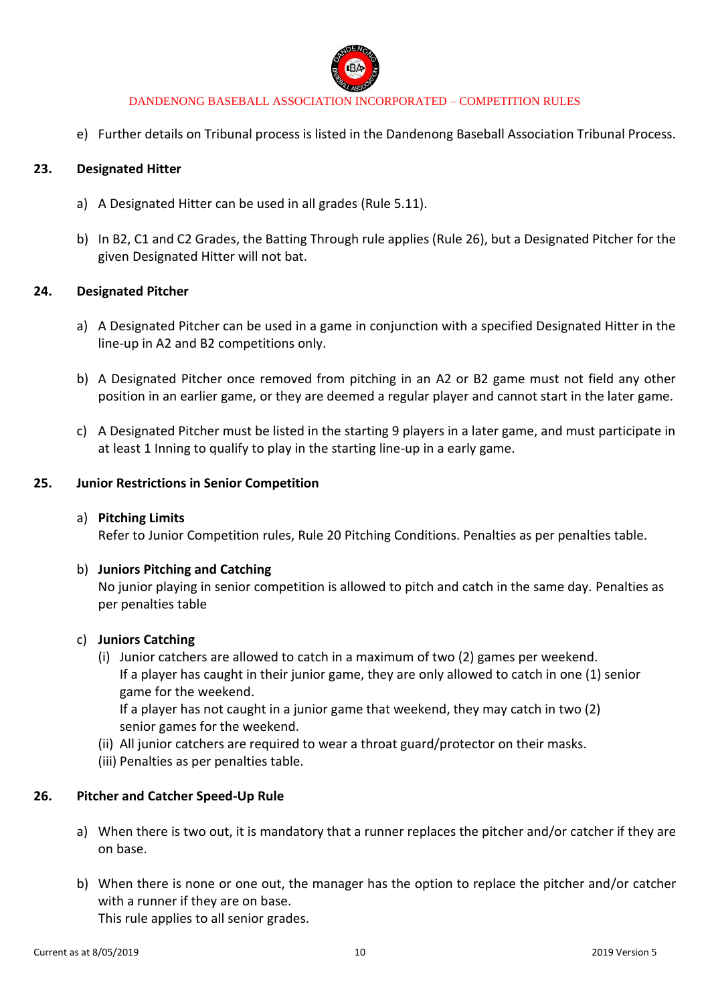

e) Further details on Tribunal process is listed in the Dandenong Baseball Association Tribunal Process.

### **23. Designated Hitter**

- a) A Designated Hitter can be used in all grades (Rule 5.11).
- b) In B2, C1 and C2 Grades, the Batting Through rule applies (Rule 26), but a Designated Pitcher for the given Designated Hitter will not bat.

#### **24. Designated Pitcher**

- a) A Designated Pitcher can be used in a game in conjunction with a specified Designated Hitter in the line-up in A2 and B2 competitions only.
- b) A Designated Pitcher once removed from pitching in an A2 or B2 game must not field any other position in an earlier game, or they are deemed a regular player and cannot start in the later game.
- c) A Designated Pitcher must be listed in the starting 9 players in a later game, and must participate in at least 1 Inning to qualify to play in the starting line-up in a early game.

#### **25. Junior Restrictions in Senior Competition**

#### a) **Pitching Limits**

Refer to Junior Competition rules, Rule 20 Pitching Conditions. Penalties as per penalties table.

#### b) **Juniors Pitching and Catching**

No junior playing in senior competition is allowed to pitch and catch in the same day. Penalties as per penalties table

#### c) **Juniors Catching**

- (i) Junior catchers are allowed to catch in a maximum of two (2) games per weekend. If a player has caught in their junior game, they are only allowed to catch in one (1) senior game for the weekend. If a player has not caught in a junior game that weekend, they may catch in two (2) senior games for the weekend.
- (ii) All junior catchers are required to wear a throat guard/protector on their masks.
- (iii) Penalties as per penalties table.

### **26. Pitcher and Catcher Speed-Up Rule**

- a) When there is two out, it is mandatory that a runner replaces the pitcher and/or catcher if they are on base.
- b) When there is none or one out, the manager has the option to replace the pitcher and/or catcher with a runner if they are on base. This rule applies to all senior grades.

Current as at 8/05/2019 **10** 2019 Version 5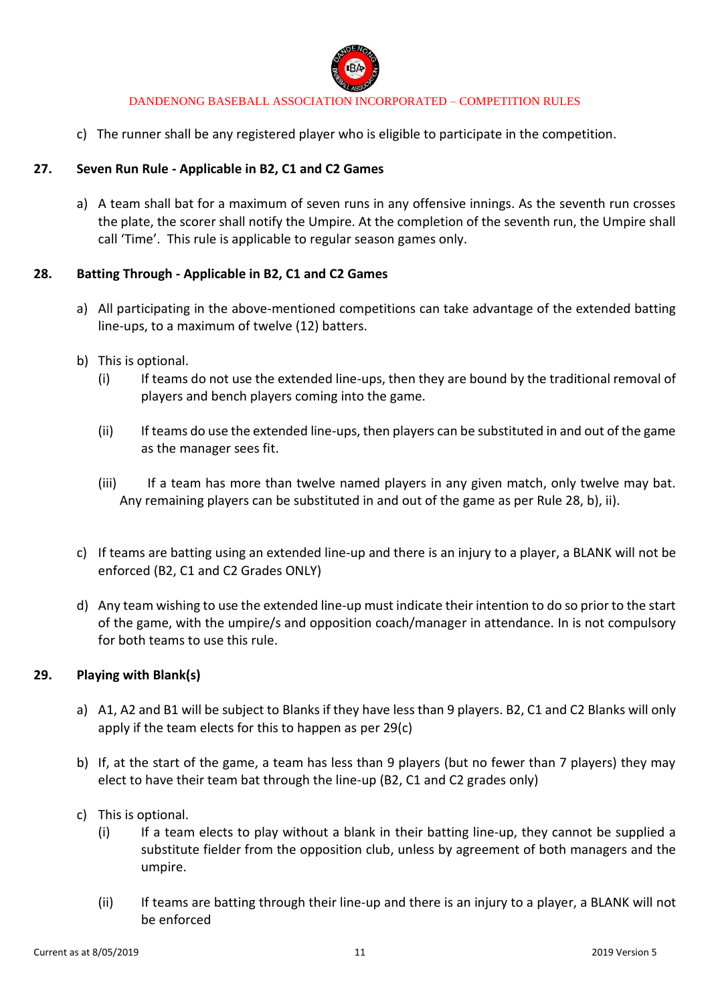

c) The runner shall be any registered player who is eligible to participate in the competition.

### **27. Seven Run Rule - Applicable in B2, C1 and C2 Games**

a) A team shall bat for a maximum of seven runs in any offensive innings. As the seventh run crosses the plate, the scorer shall notify the Umpire. At the completion of the seventh run, the Umpire shall call 'Time'. This rule is applicable to regular season games only.

### **28. Batting Through - Applicable in B2, C1 and C2 Games**

- a) All participating in the above-mentioned competitions can take advantage of the extended batting line-ups, to a maximum of twelve (12) batters.
- b) This is optional.
	- (i) If teams do not use the extended line-ups, then they are bound by the traditional removal of players and bench players coming into the game.
	- (ii) If teams do use the extended line-ups, then players can be substituted in and out of the game as the manager sees fit.
	- (iii) If a team has more than twelve named players in any given match, only twelve may bat. Any remaining players can be substituted in and out of the game as per Rule 28, b), ii).
- c) If teams are batting using an extended line-up and there is an injury to a player, a BLANK will not be enforced (B2, C1 and C2 Grades ONLY)
- d) Any team wishing to use the extended line-up must indicate their intention to do so prior to the start of the game, with the umpire/s and opposition coach/manager in attendance. In is not compulsory for both teams to use this rule.

### **29. Playing with Blank(s)**

- a) A1, A2 and B1 will be subject to Blanks if they have less than 9 players. B2, C1 and C2 Blanks will only apply if the team elects for this to happen as per 29(c)
- b) If, at the start of the game, a team has less than 9 players (but no fewer than 7 players) they may elect to have their team bat through the line-up (B2, C1 and C2 grades only)
- c) This is optional.
	- (i) If a team elects to play without a blank in their batting line-up, they cannot be supplied a substitute fielder from the opposition club, unless by agreement of both managers and the umpire.
	- (ii) If teams are batting through their line-up and there is an injury to a player, a BLANK will not be enforced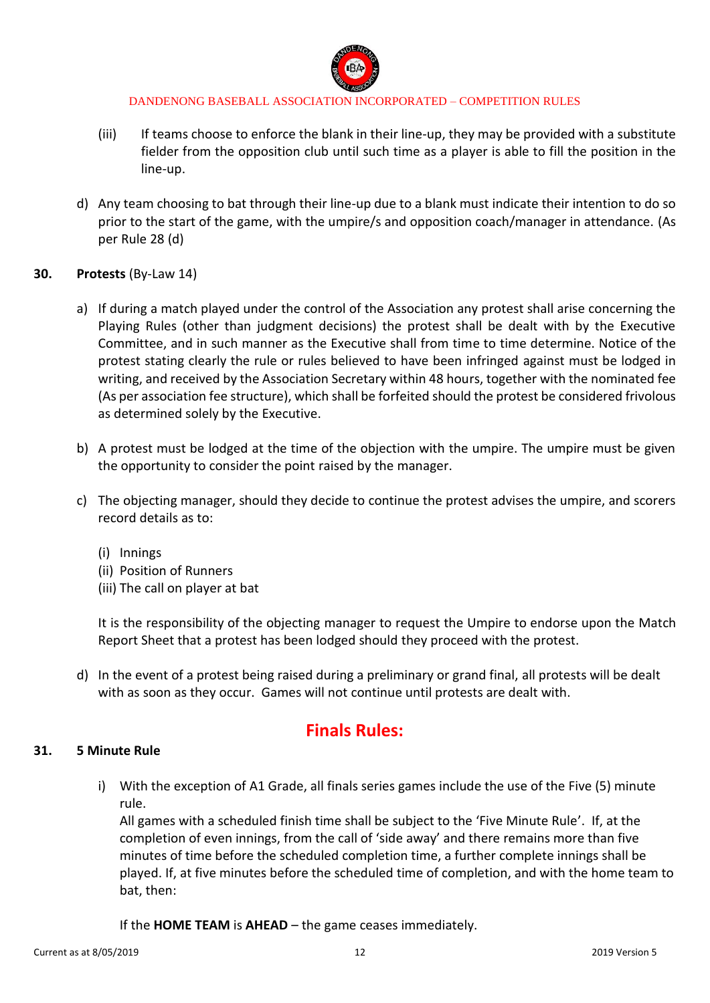

- (iii) If teams choose to enforce the blank in their line-up, they may be provided with a substitute fielder from the opposition club until such time as a player is able to fill the position in the line-up.
- d) Any team choosing to bat through their line-up due to a blank must indicate their intention to do so prior to the start of the game, with the umpire/s and opposition coach/manager in attendance. (As per Rule 28 (d)
- **30. Protests** (By-Law 14)
	- a) If during a match played under the control of the Association any protest shall arise concerning the Playing Rules (other than judgment decisions) the protest shall be dealt with by the Executive Committee, and in such manner as the Executive shall from time to time determine. Notice of the protest stating clearly the rule or rules believed to have been infringed against must be lodged in writing, and received by the Association Secretary within 48 hours, together with the nominated fee (As per association fee structure), which shall be forfeited should the protest be considered frivolous as determined solely by the Executive.
	- b) A protest must be lodged at the time of the objection with the umpire. The umpire must be given the opportunity to consider the point raised by the manager.
	- c) The objecting manager, should they decide to continue the protest advises the umpire, and scorers record details as to:
		- (i) Innings
		- (ii) Position of Runners
		- (iii) The call on player at bat

It is the responsibility of the objecting manager to request the Umpire to endorse upon the Match Report Sheet that a protest has been lodged should they proceed with the protest.

d) In the event of a protest being raised during a preliminary or grand final, all protests will be dealt with as soon as they occur. Games will not continue until protests are dealt with.

# **Finals Rules:**

### **31. 5 Minute Rule**

i) With the exception of A1 Grade, all finals series games include the use of the Five (5) minute rule.

All games with a scheduled finish time shall be subject to the 'Five Minute Rule'. If, at the completion of even innings, from the call of 'side away' and there remains more than five minutes of time before the scheduled completion time, a further complete innings shall be played. If, at five minutes before the scheduled time of completion, and with the home team to bat, then:

If the **HOME TEAM** is **AHEAD** – the game ceases immediately.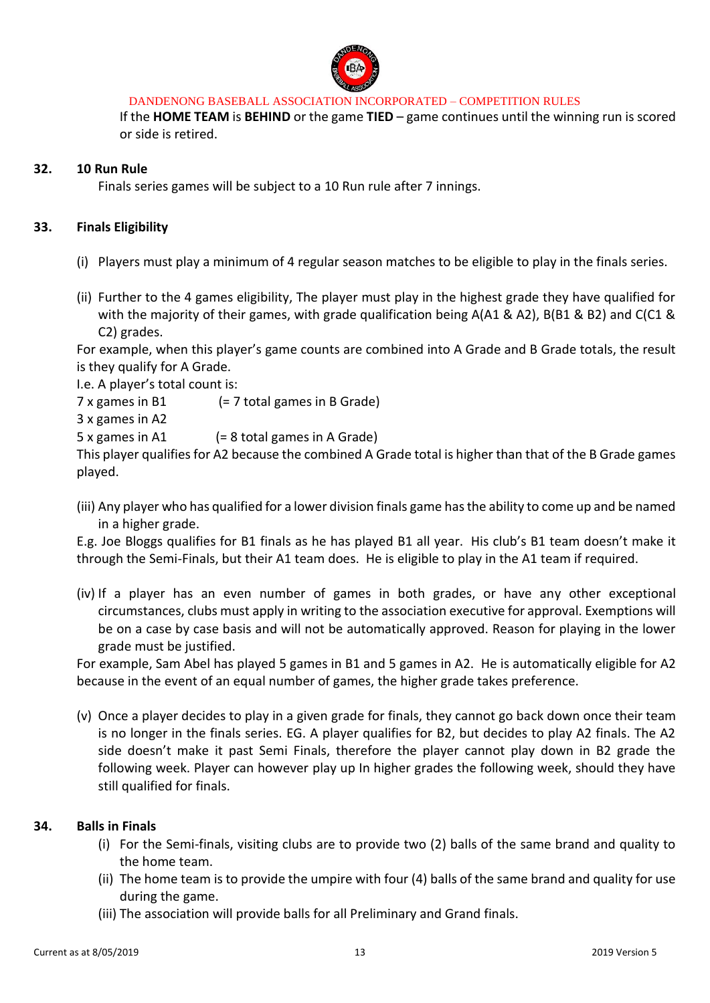

If the **HOME TEAM** is **BEHIND** or the game **TIED** – game continues until the winning run is scored or side is retired.

### **32. 10 Run Rule**

Finals series games will be subject to a 10 Run rule after 7 innings.

### **33. Finals Eligibility**

- (i) Players must play a minimum of 4 regular season matches to be eligible to play in the finals series.
- (ii) Further to the 4 games eligibility, The player must play in the highest grade they have qualified for with the majority of their games, with grade qualification being A(A1 & A2), B(B1 & B2) and C(C1 & C2) grades.

For example, when this player's game counts are combined into A Grade and B Grade totals, the result is they qualify for A Grade.

I.e. A player's total count is:

7 x games in B1 (= 7 total games in B Grade)

3 x games in A2

5 x games in A1 (= 8 total games in A Grade)

This player qualifies for A2 because the combined A Grade total is higher than that of the B Grade games played.

(iii) Any player who has qualified for a lower division finals game has the ability to come up and be named in a higher grade.

E.g. Joe Bloggs qualifies for B1 finals as he has played B1 all year. His club's B1 team doesn't make it through the Semi-Finals, but their A1 team does. He is eligible to play in the A1 team if required.

(iv) If a player has an even number of games in both grades, or have any other exceptional circumstances, clubs must apply in writing to the association executive for approval. Exemptions will be on a case by case basis and will not be automatically approved. Reason for playing in the lower grade must be justified.

For example, Sam Abel has played 5 games in B1 and 5 games in A2. He is automatically eligible for A2 because in the event of an equal number of games, the higher grade takes preference.

(v) Once a player decides to play in a given grade for finals, they cannot go back down once their team is no longer in the finals series. EG. A player qualifies for B2, but decides to play A2 finals. The A2 side doesn't make it past Semi Finals, therefore the player cannot play down in B2 grade the following week. Player can however play up In higher grades the following week, should they have still qualified for finals.

#### **34. Balls in Finals**

- (i) For the Semi-finals, visiting clubs are to provide two (2) balls of the same brand and quality to the home team.
- (ii) The home team is to provide the umpire with four (4) balls of the same brand and quality for use during the game.
- (iii) The association will provide balls for all Preliminary and Grand finals.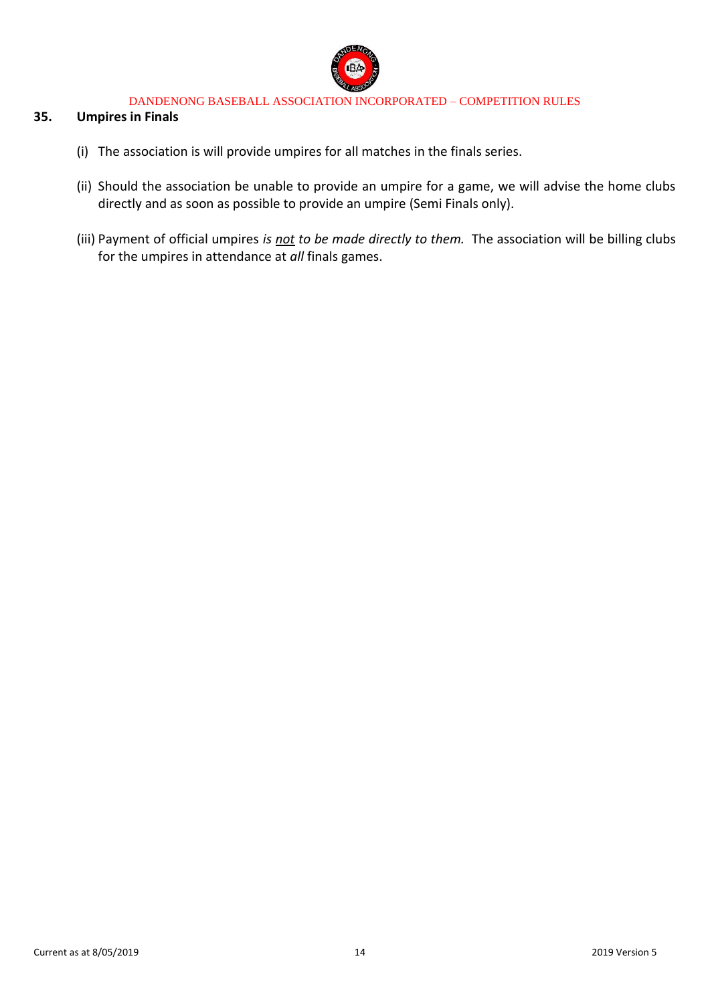

### **35. Umpires in Finals**

- (i) The association is will provide umpires for all matches in the finals series.
- (ii) Should the association be unable to provide an umpire for a game, we will advise the home clubs directly and as soon as possible to provide an umpire (Semi Finals only).
- (iii) Payment of official umpires *is not to be made directly to them.* The association will be billing clubs for the umpires in attendance at *all* finals games.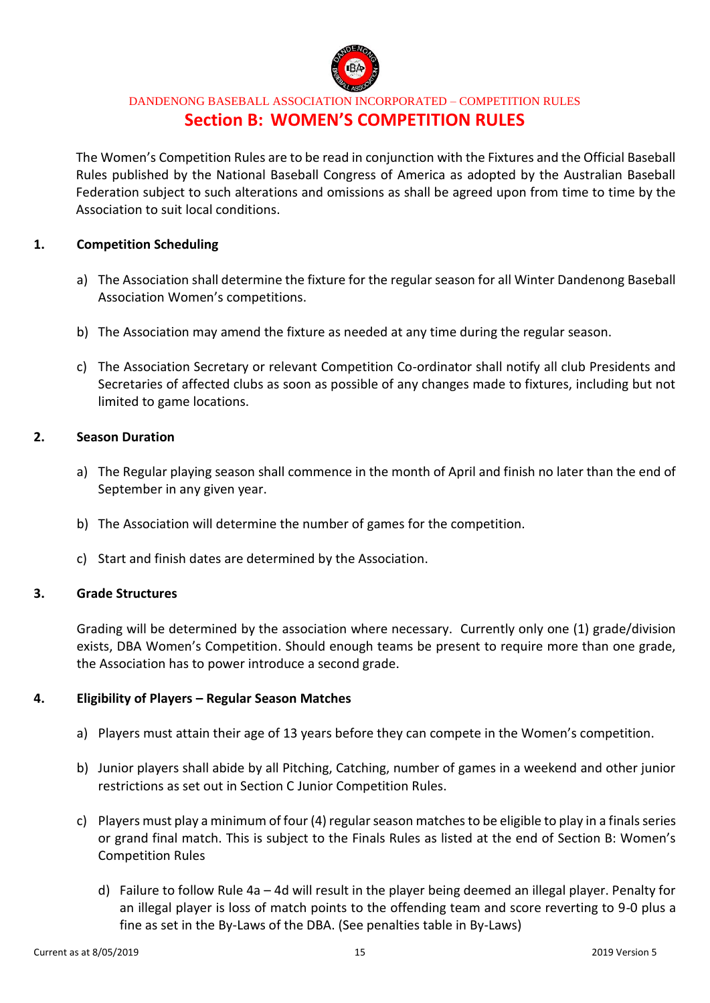

## DANDENONG BASEBALL ASSOCIATION INCORPORATED – COMPETITION RULES **Section B: WOMEN'S COMPETITION RULES**

The Women's Competition Rules are to be read in conjunction with the Fixtures and the Official Baseball Rules published by the National Baseball Congress of America as adopted by the Australian Baseball Federation subject to such alterations and omissions as shall be agreed upon from time to time by the Association to suit local conditions.

### **1. Competition Scheduling**

- a) The Association shall determine the fixture for the regular season for all Winter Dandenong Baseball Association Women's competitions.
- b) The Association may amend the fixture as needed at any time during the regular season.
- c) The Association Secretary or relevant Competition Co-ordinator shall notify all club Presidents and Secretaries of affected clubs as soon as possible of any changes made to fixtures, including but not limited to game locations.

### **2. Season Duration**

- a) The Regular playing season shall commence in the month of April and finish no later than the end of September in any given year.
- b) The Association will determine the number of games for the competition.
- c) Start and finish dates are determined by the Association.

### **3. Grade Structures**

Grading will be determined by the association where necessary. Currently only one (1) grade/division exists, DBA Women's Competition. Should enough teams be present to require more than one grade, the Association has to power introduce a second grade.

#### **4. Eligibility of Players – Regular Season Matches**

- a) Players must attain their age of 13 years before they can compete in the Women's competition.
- b) Junior players shall abide by all Pitching, Catching, number of games in a weekend and other junior restrictions as set out in Section C Junior Competition Rules.
- c) Players must play a minimum of four (4) regular season matches to be eligible to play in a finals series or grand final match. This is subject to the Finals Rules as listed at the end of Section B: Women's Competition Rules
	- d) Failure to follow Rule 4a 4d will result in the player being deemed an illegal player. Penalty for an illegal player is loss of match points to the offending team and score reverting to 9-0 plus a fine as set in the By-Laws of the DBA. (See penalties table in By-Laws)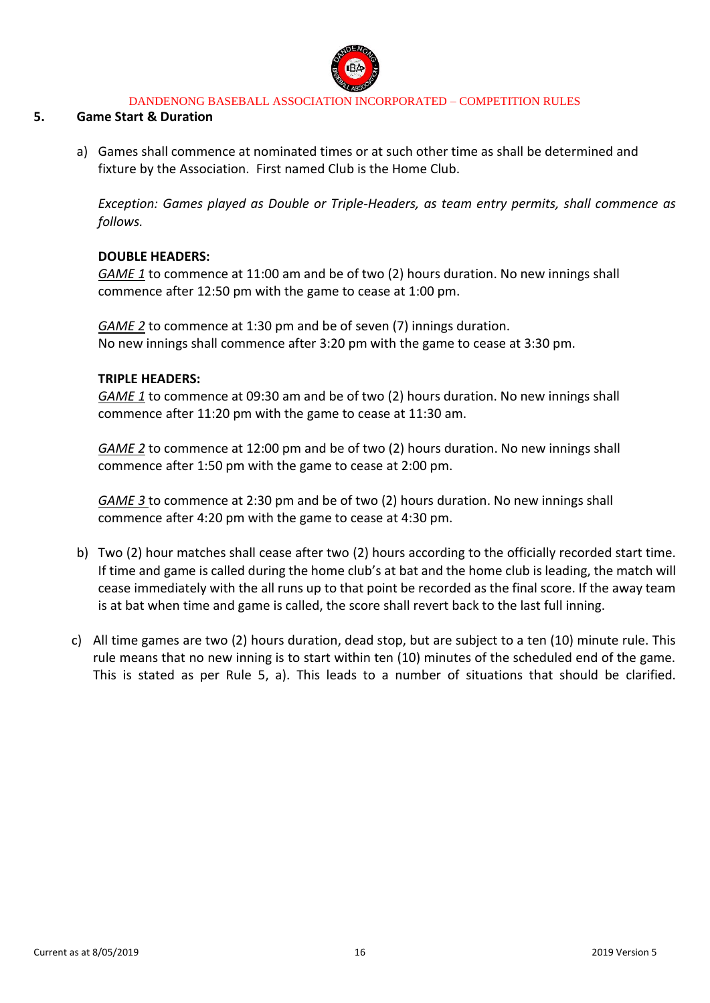

### **5. Game Start & Duration**

a) Games shall commence at nominated times or at such other time as shall be determined and fixture by the Association. First named Club is the Home Club.

*Exception: Games played as Double or Triple-Headers, as team entry permits, shall commence as follows.* 

### **DOUBLE HEADERS:**

*GAME 1* to commence at 11:00 am and be of two (2) hours duration. No new innings shall commence after 12:50 pm with the game to cease at 1:00 pm.

*GAME 2* to commence at 1:30 pm and be of seven (7) innings duration. No new innings shall commence after 3:20 pm with the game to cease at 3:30 pm.

#### **TRIPLE HEADERS:**

*GAME 1* to commence at 09:30 am and be of two (2) hours duration. No new innings shall commence after 11:20 pm with the game to cease at 11:30 am.

*GAME 2* to commence at 12:00 pm and be of two (2) hours duration. No new innings shall commence after 1:50 pm with the game to cease at 2:00 pm.

*GAME 3* to commence at 2:30 pm and be of two (2) hours duration. No new innings shall commence after 4:20 pm with the game to cease at 4:30 pm.

- b) Two (2) hour matches shall cease after two (2) hours according to the officially recorded start time. If time and game is called during the home club's at bat and the home club is leading, the match will cease immediately with the all runs up to that point be recorded as the final score. If the away team is at bat when time and game is called, the score shall revert back to the last full inning.
- c) All time games are two (2) hours duration, dead stop, but are subject to a ten (10) minute rule. This rule means that no new inning is to start within ten (10) minutes of the scheduled end of the game. This is stated as per Rule 5, a). This leads to a number of situations that should be clarified.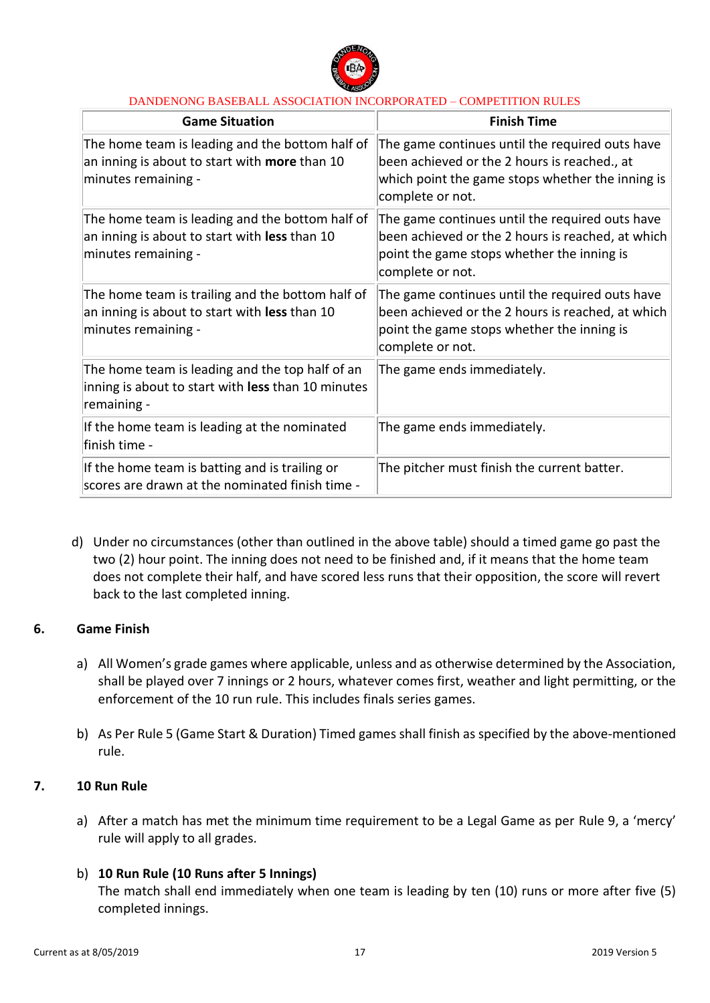

| <b>Game Situation</b>                                                                                                          | <b>Finish Time</b>                                                                                                                                                      |  |
|--------------------------------------------------------------------------------------------------------------------------------|-------------------------------------------------------------------------------------------------------------------------------------------------------------------------|--|
| The home team is leading and the bottom half of<br>an inning is about to start with <b>more</b> than 10<br>minutes remaining - | The game continues until the required outs have<br>been achieved or the 2 hours is reached., at<br>which point the game stops whether the inning is<br>complete or not. |  |
| The home team is leading and the bottom half of<br>an inning is about to start with less than 10<br>minutes remaining -        | The game continues until the required outs have<br>been achieved or the 2 hours is reached, at which<br>point the game stops whether the inning is<br>complete or not.  |  |
| The home team is trailing and the bottom half of<br>an inning is about to start with less than 10<br>minutes remaining -       | The game continues until the required outs have<br>been achieved or the 2 hours is reached, at which<br>point the game stops whether the inning is<br>complete or not.  |  |
| The home team is leading and the top half of an<br>inning is about to start with less than 10 minutes<br>remaining -           | The game ends immediately.                                                                                                                                              |  |
| If the home team is leading at the nominated<br>finish time -                                                                  | The game ends immediately.                                                                                                                                              |  |
| If the home team is batting and is trailing or<br>scores are drawn at the nominated finish time -                              | The pitcher must finish the current batter.                                                                                                                             |  |

d) Under no circumstances (other than outlined in the above table) should a timed game go past the two (2) hour point. The inning does not need to be finished and, if it means that the home team does not complete their half, and have scored less runs that their opposition, the score will revert back to the last completed inning.

### **6. Game Finish**

- a) All Women's grade games where applicable, unless and as otherwise determined by the Association, shall be played over 7 innings or 2 hours, whatever comes first, weather and light permitting, or the enforcement of the 10 run rule. This includes finals series games.
- b) As Per Rule 5 (Game Start & Duration) Timed games shall finish as specified by the above-mentioned rule.

### **7. 10 Run Rule**

a) After a match has met the minimum time requirement to be a Legal Game as per Rule 9, a 'mercy' rule will apply to all grades.

### b) **10 Run Rule (10 Runs after 5 Innings)**

The match shall end immediately when one team is leading by ten (10) runs or more after five (5) completed innings.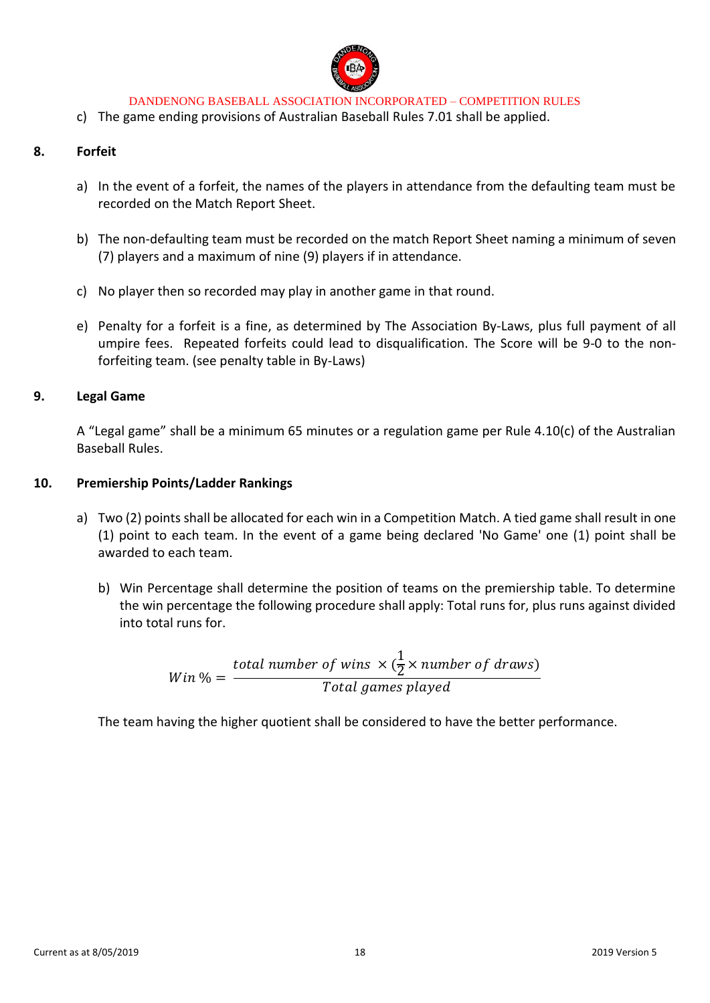

c) The game ending provisions of Australian Baseball Rules 7.01 shall be applied.

### **8. Forfeit**

- a) In the event of a forfeit, the names of the players in attendance from the defaulting team must be recorded on the Match Report Sheet.
- b) The non-defaulting team must be recorded on the match Report Sheet naming a minimum of seven (7) players and a maximum of nine (9) players if in attendance.
- c) No player then so recorded may play in another game in that round.
- e) Penalty for a forfeit is a fine, as determined by The Association By-Laws, plus full payment of all umpire fees. Repeated forfeits could lead to disqualification. The Score will be 9-0 to the nonforfeiting team. (see penalty table in By-Laws)

### **9. Legal Game**

A "Legal game" shall be a minimum 65 minutes or a regulation game per Rule 4.10(c) of the Australian Baseball Rules.

#### **10. Premiership Points/Ladder Rankings**

- a) Two (2) points shall be allocated for each win in a Competition Match. A tied game shall result in one (1) point to each team. In the event of a game being declared 'No Game' one (1) point shall be awarded to each team.
	- b) Win Percentage shall determine the position of teams on the premiership table. To determine the win percentage the following procedure shall apply: Total runs for, plus runs against divided into total runs for.

$$
Win\% = \frac{total\ number\ of\ wins \times (\frac{1}{2} \times number\ of\ draws)}{Total\ games\ played}
$$

The team having the higher quotient shall be considered to have the better performance.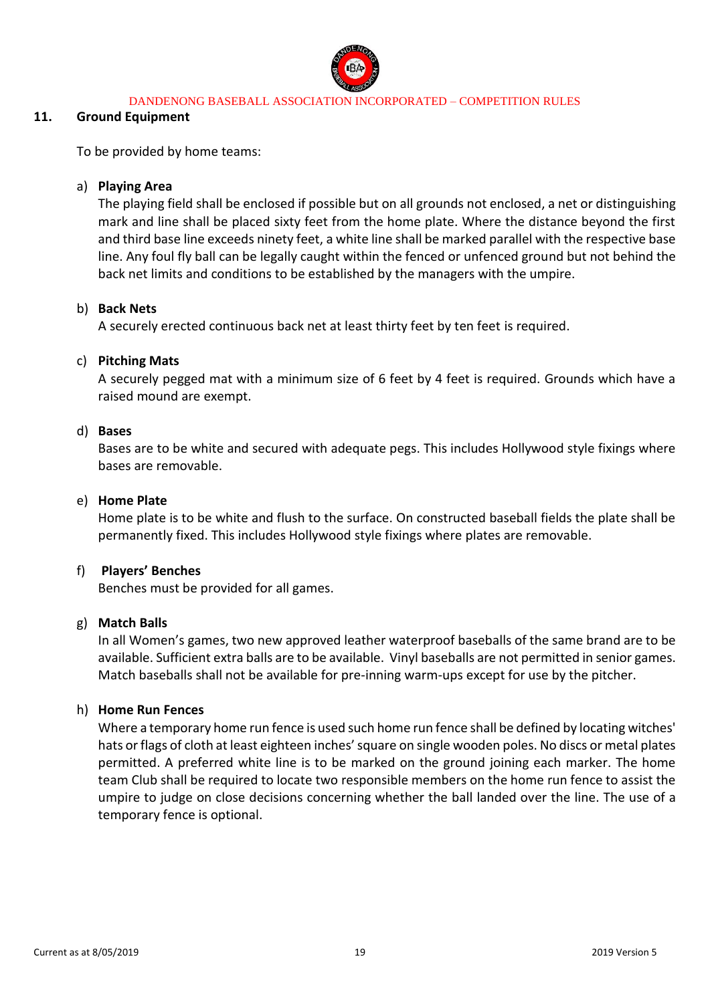

#### **11. Ground Equipment**

To be provided by home teams:

### a) **Playing Area**

The playing field shall be enclosed if possible but on all grounds not enclosed, a net or distinguishing mark and line shall be placed sixty feet from the home plate. Where the distance beyond the first and third base line exceeds ninety feet, a white line shall be marked parallel with the respective base line. Any foul fly ball can be legally caught within the fenced or unfenced ground but not behind the back net limits and conditions to be established by the managers with the umpire.

### b) **Back Nets**

A securely erected continuous back net at least thirty feet by ten feet is required.

### c) **Pitching Mats**

A securely pegged mat with a minimum size of 6 feet by 4 feet is required. Grounds which have a raised mound are exempt.

### d) **Bases**

Bases are to be white and secured with adequate pegs. This includes Hollywood style fixings where bases are removable.

### e) **Home Plate**

Home plate is to be white and flush to the surface. On constructed baseball fields the plate shall be permanently fixed. This includes Hollywood style fixings where plates are removable.

### f) **Players' Benches**

Benches must be provided for all games.

### g) **Match Balls**

In all Women's games, two new approved leather waterproof baseballs of the same brand are to be available. Sufficient extra balls are to be available. Vinyl baseballs are not permitted in senior games. Match baseballs shall not be available for pre-inning warm-ups except for use by the pitcher.

### h) **Home Run Fences**

Where a temporary home run fence is used such home run fence shall be defined by locating witches' hats or flags of cloth at least eighteen inches' square on single wooden poles. No discs or metal plates permitted. A preferred white line is to be marked on the ground joining each marker. The home team Club shall be required to locate two responsible members on the home run fence to assist the umpire to judge on close decisions concerning whether the ball landed over the line. The use of a temporary fence is optional.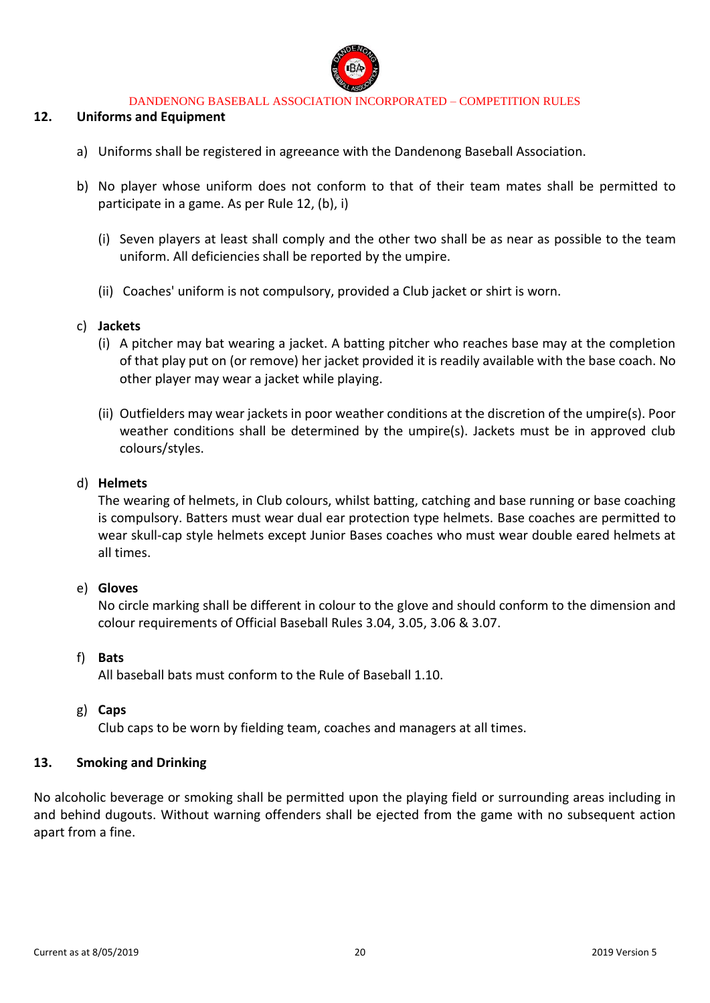

### **12. Uniforms and Equipment**

- a) Uniforms shall be registered in agreeance with the Dandenong Baseball Association.
- b) No player whose uniform does not conform to that of their team mates shall be permitted to participate in a game. As per Rule 12, (b), i)
	- (i) Seven players at least shall comply and the other two shall be as near as possible to the team uniform. All deficiencies shall be reported by the umpire.
	- (ii) Coaches' uniform is not compulsory, provided a Club jacket or shirt is worn.

### c) **Jackets**

- (i) A pitcher may bat wearing a jacket. A batting pitcher who reaches base may at the completion of that play put on (or remove) her jacket provided it is readily available with the base coach. No other player may wear a jacket while playing.
- (ii) Outfielders may wear jackets in poor weather conditions at the discretion of the umpire(s). Poor weather conditions shall be determined by the umpire(s). Jackets must be in approved club colours/styles.

#### d) **Helmets**

The wearing of helmets, in Club colours, whilst batting, catching and base running or base coaching is compulsory. Batters must wear dual ear protection type helmets. Base coaches are permitted to wear skull-cap style helmets except Junior Bases coaches who must wear double eared helmets at all times.

### e) **Gloves**

No circle marking shall be different in colour to the glove and should conform to the dimension and colour requirements of Official Baseball Rules 3.04, 3.05, 3.06 & 3.07.

### f) **Bats**

All baseball bats must conform to the Rule of Baseball 1.10.

g) **Caps**

Club caps to be worn by fielding team, coaches and managers at all times.

### **13. Smoking and Drinking**

No alcoholic beverage or smoking shall be permitted upon the playing field or surrounding areas including in and behind dugouts. Without warning offenders shall be ejected from the game with no subsequent action apart from a fine.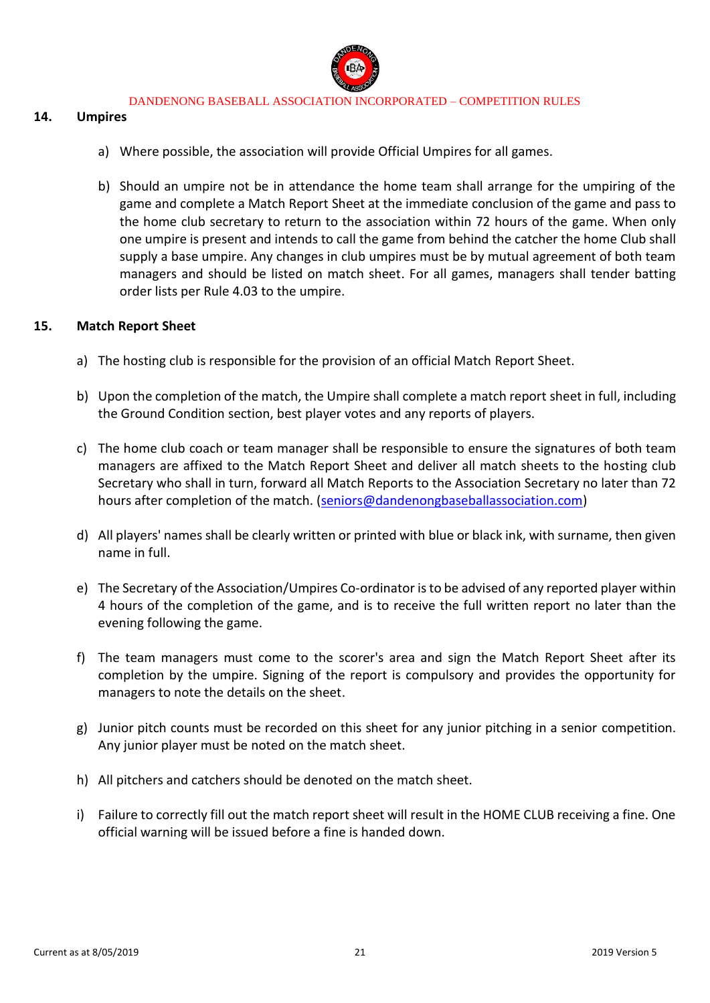

#### **14. Umpires**

- a) Where possible, the association will provide Official Umpires for all games.
- b) Should an umpire not be in attendance the home team shall arrange for the umpiring of the game and complete a Match Report Sheet at the immediate conclusion of the game and pass to the home club secretary to return to the association within 72 hours of the game. When only one umpire is present and intends to call the game from behind the catcher the home Club shall supply a base umpire. Any changes in club umpires must be by mutual agreement of both team managers and should be listed on match sheet. For all games, managers shall tender batting order lists per Rule 4.03 to the umpire.

#### **15. Match Report Sheet**

- a) The hosting club is responsible for the provision of an official Match Report Sheet.
- b) Upon the completion of the match, the Umpire shall complete a match report sheet in full, including the Ground Condition section, best player votes and any reports of players.
- c) The home club coach or team manager shall be responsible to ensure the signatures of both team managers are affixed to the Match Report Sheet and deliver all match sheets to the hosting club Secretary who shall in turn, forward all Match Reports to the Association Secretary no later than 72 hours after completion of the match. [\(seniors@dandenongbaseballassociation.com\)](mailto:seniors@dandenongbaseballassociation.com)
- d) All players' names shall be clearly written or printed with blue or black ink, with surname, then given name in full.
- e) The Secretary of the Association/Umpires Co-ordinator is to be advised of any reported player within 4 hours of the completion of the game, and is to receive the full written report no later than the evening following the game.
- f) The team managers must come to the scorer's area and sign the Match Report Sheet after its completion by the umpire. Signing of the report is compulsory and provides the opportunity for managers to note the details on the sheet.
- g) Junior pitch counts must be recorded on this sheet for any junior pitching in a senior competition. Any junior player must be noted on the match sheet.
- h) All pitchers and catchers should be denoted on the match sheet.
- i) Failure to correctly fill out the match report sheet will result in the HOME CLUB receiving a fine. One official warning will be issued before a fine is handed down.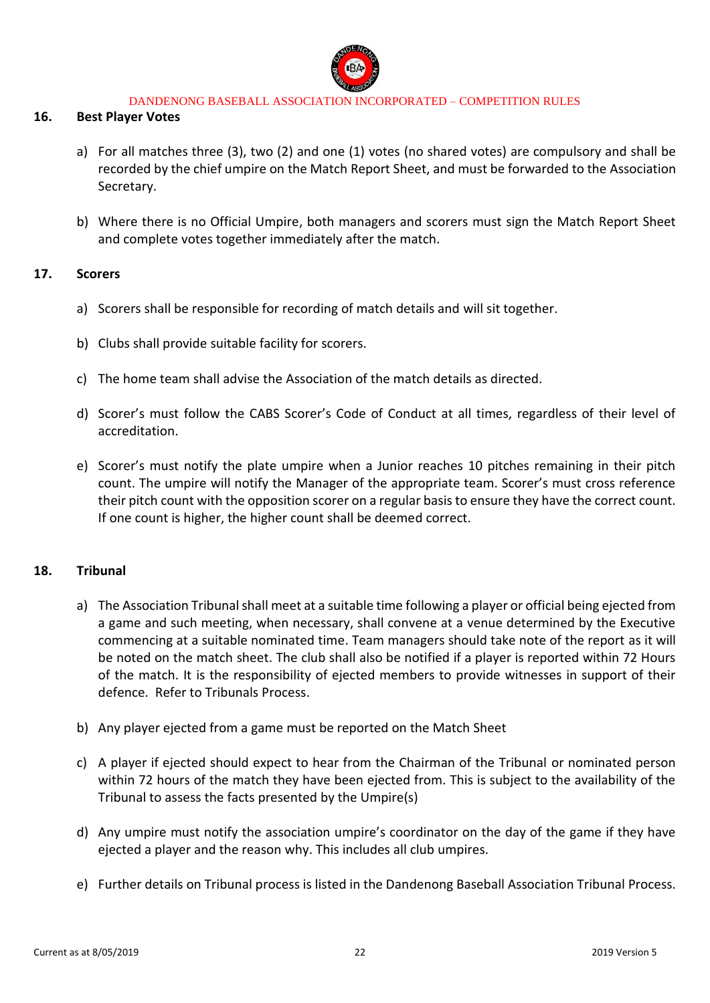

#### **16. Best Player Votes**

- a) For all matches three (3), two (2) and one (1) votes (no shared votes) are compulsory and shall be recorded by the chief umpire on the Match Report Sheet, and must be forwarded to the Association Secretary.
- b) Where there is no Official Umpire, both managers and scorers must sign the Match Report Sheet and complete votes together immediately after the match.

#### **17. Scorers**

- a) Scorers shall be responsible for recording of match details and will sit together.
- b) Clubs shall provide suitable facility for scorers.
- c) The home team shall advise the Association of the match details as directed.
- d) Scorer's must follow the CABS Scorer's Code of Conduct at all times, regardless of their level of accreditation.
- e) Scorer's must notify the plate umpire when a Junior reaches 10 pitches remaining in their pitch count. The umpire will notify the Manager of the appropriate team. Scorer's must cross reference their pitch count with the opposition scorer on a regular basis to ensure they have the correct count. If one count is higher, the higher count shall be deemed correct.

### **18. Tribunal**

- a) The Association Tribunal shall meet at a suitable time following a player or official being ejected from a game and such meeting, when necessary, shall convene at a venue determined by the Executive commencing at a suitable nominated time. Team managers should take note of the report as it will be noted on the match sheet. The club shall also be notified if a player is reported within 72 Hours of the match. It is the responsibility of ejected members to provide witnesses in support of their defence. Refer to Tribunals Process.
- b) Any player ejected from a game must be reported on the Match Sheet
- c) A player if ejected should expect to hear from the Chairman of the Tribunal or nominated person within 72 hours of the match they have been ejected from. This is subject to the availability of the Tribunal to assess the facts presented by the Umpire(s)
- d) Any umpire must notify the association umpire's coordinator on the day of the game if they have ejected a player and the reason why. This includes all club umpires.
- e) Further details on Tribunal process is listed in the Dandenong Baseball Association Tribunal Process.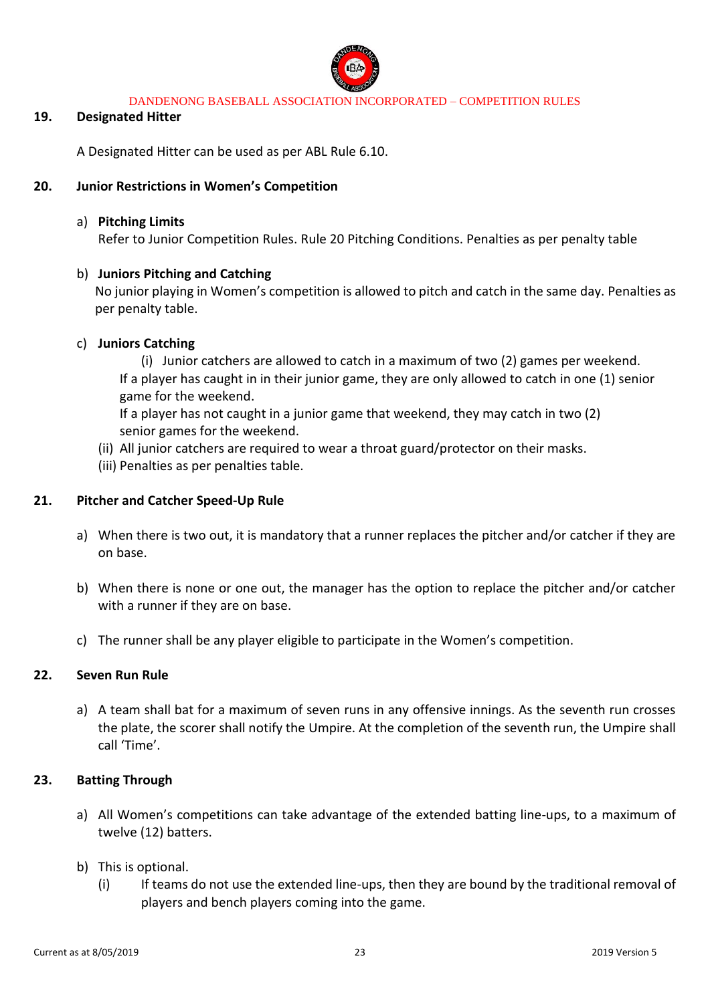

#### **19. Designated Hitter**

A Designated Hitter can be used as per ABL Rule 6.10.

#### **20. Junior Restrictions in Women's Competition**

#### a) **Pitching Limits**

Refer to Junior Competition Rules. Rule 20 Pitching Conditions. Penalties as per penalty table

#### b) **Juniors Pitching and Catching**

No junior playing in Women's competition is allowed to pitch and catch in the same day. Penalties as per penalty table.

#### c) **Juniors Catching**

(i) Junior catchers are allowed to catch in a maximum of two (2) games per weekend. If a player has caught in in their junior game, they are only allowed to catch in one (1) senior game for the weekend.

If a player has not caught in a junior game that weekend, they may catch in two (2) senior games for the weekend.

- (ii) All junior catchers are required to wear a throat guard/protector on their masks.
- (iii) Penalties as per penalties table.

### **21. Pitcher and Catcher Speed-Up Rule**

- a) When there is two out, it is mandatory that a runner replaces the pitcher and/or catcher if they are on base.
- b) When there is none or one out, the manager has the option to replace the pitcher and/or catcher with a runner if they are on base.
- c) The runner shall be any player eligible to participate in the Women's competition.

#### **22. Seven Run Rule**

a) A team shall bat for a maximum of seven runs in any offensive innings. As the seventh run crosses the plate, the scorer shall notify the Umpire. At the completion of the seventh run, the Umpire shall call 'Time'.

### **23. Batting Through**

- a) All Women's competitions can take advantage of the extended batting line-ups, to a maximum of twelve (12) batters.
- b) This is optional.
	- (i) If teams do not use the extended line-ups, then they are bound by the traditional removal of players and bench players coming into the game.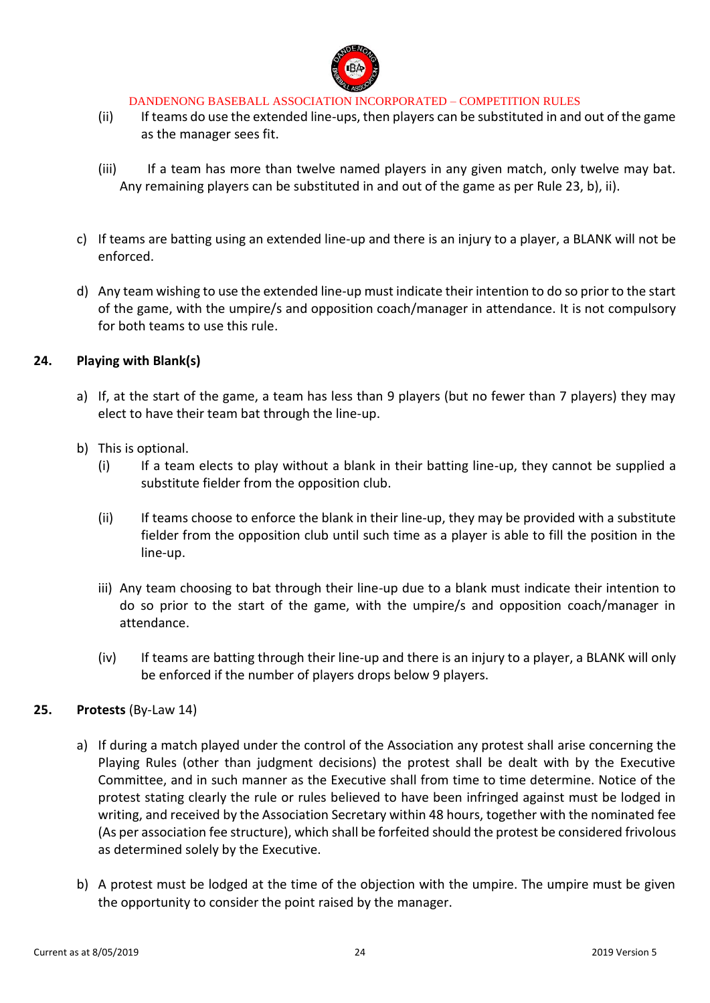

- (ii) If teams do use the extended line-ups, then players can be substituted in and out of the game as the manager sees fit.
- (iii) If a team has more than twelve named players in any given match, only twelve may bat. Any remaining players can be substituted in and out of the game as per Rule 23, b), ii).
- c) If teams are batting using an extended line-up and there is an injury to a player, a BLANK will not be enforced.
- d) Any team wishing to use the extended line-up must indicate their intention to do so prior to the start of the game, with the umpire/s and opposition coach/manager in attendance. It is not compulsory for both teams to use this rule.

### **24. Playing with Blank(s)**

- a) If, at the start of the game, a team has less than 9 players (but no fewer than 7 players) they may elect to have their team bat through the line-up.
- b) This is optional.
	- (i) If a team elects to play without a blank in their batting line-up, they cannot be supplied a substitute fielder from the opposition club.
	- (ii) If teams choose to enforce the blank in their line-up, they may be provided with a substitute fielder from the opposition club until such time as a player is able to fill the position in the line-up.
	- iii) Any team choosing to bat through their line-up due to a blank must indicate their intention to do so prior to the start of the game, with the umpire/s and opposition coach/manager in attendance.
	- (iv) If teams are batting through their line-up and there is an injury to a player, a BLANK will only be enforced if the number of players drops below 9 players.

### **25. Protests** (By-Law 14)

- a) If during a match played under the control of the Association any protest shall arise concerning the Playing Rules (other than judgment decisions) the protest shall be dealt with by the Executive Committee, and in such manner as the Executive shall from time to time determine. Notice of the protest stating clearly the rule or rules believed to have been infringed against must be lodged in writing, and received by the Association Secretary within 48 hours, together with the nominated fee (As per association fee structure), which shall be forfeited should the protest be considered frivolous as determined solely by the Executive.
- b) A protest must be lodged at the time of the objection with the umpire. The umpire must be given the opportunity to consider the point raised by the manager.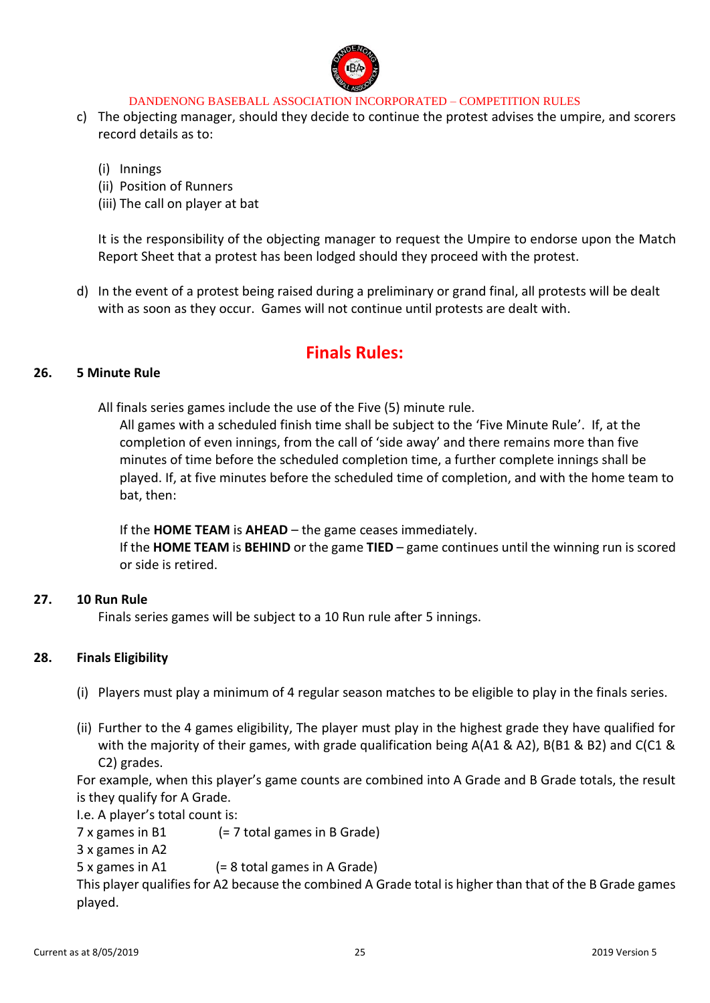

c) The objecting manager, should they decide to continue the protest advises the umpire, and scorers record details as to:

(i) Innings

- (ii) Position of Runners
- (iii) The call on player at bat

It is the responsibility of the objecting manager to request the Umpire to endorse upon the Match Report Sheet that a protest has been lodged should they proceed with the protest.

d) In the event of a protest being raised during a preliminary or grand final, all protests will be dealt with as soon as they occur. Games will not continue until protests are dealt with.

# **Finals Rules:**

#### **26. 5 Minute Rule**

All finals series games include the use of the Five (5) minute rule.

All games with a scheduled finish time shall be subject to the 'Five Minute Rule'. If, at the completion of even innings, from the call of 'side away' and there remains more than five minutes of time before the scheduled completion time, a further complete innings shall be played. If, at five minutes before the scheduled time of completion, and with the home team to bat, then:

If the **HOME TEAM** is **AHEAD** – the game ceases immediately.

If the **HOME TEAM** is **BEHIND** or the game **TIED** – game continues until the winning run is scored or side is retired.

### **27. 10 Run Rule**

Finals series games will be subject to a 10 Run rule after 5 innings.

### **28. Finals Eligibility**

- (i) Players must play a minimum of 4 regular season matches to be eligible to play in the finals series.
- (ii) Further to the 4 games eligibility, The player must play in the highest grade they have qualified for with the majority of their games, with grade qualification being A(A1 & A2), B(B1 & B2) and C(C1 & C2) grades.

For example, when this player's game counts are combined into A Grade and B Grade totals, the result is they qualify for A Grade.

I.e. A player's total count is:

7 x games in B1 (= 7 total games in B Grade)

3 x games in A2

5 x games in A1 (= 8 total games in A Grade)

This player qualifies for A2 because the combined A Grade total is higher than that of the B Grade games played.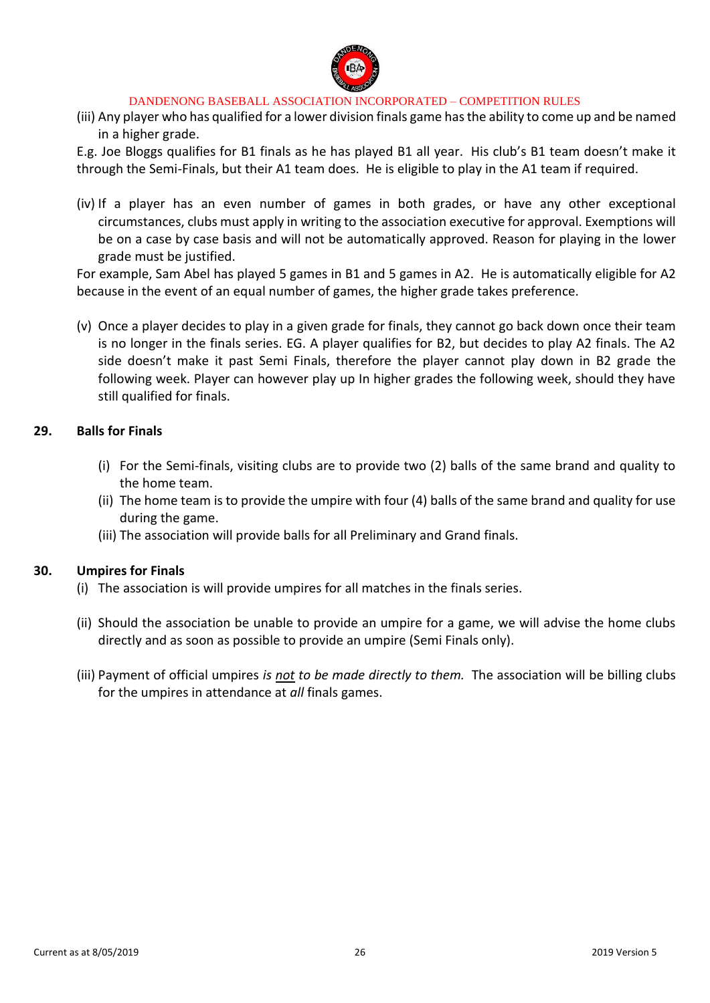

(iii) Any player who has qualified for a lower division finals game has the ability to come up and be named in a higher grade.

E.g. Joe Bloggs qualifies for B1 finals as he has played B1 all year. His club's B1 team doesn't make it through the Semi-Finals, but their A1 team does. He is eligible to play in the A1 team if required.

(iv) If a player has an even number of games in both grades, or have any other exceptional circumstances, clubs must apply in writing to the association executive for approval. Exemptions will be on a case by case basis and will not be automatically approved. Reason for playing in the lower grade must be justified.

For example, Sam Abel has played 5 games in B1 and 5 games in A2. He is automatically eligible for A2 because in the event of an equal number of games, the higher grade takes preference.

(v) Once a player decides to play in a given grade for finals, they cannot go back down once their team is no longer in the finals series. EG. A player qualifies for B2, but decides to play A2 finals. The A2 side doesn't make it past Semi Finals, therefore the player cannot play down in B2 grade the following week. Player can however play up In higher grades the following week, should they have still qualified for finals.

### **29. Balls for Finals**

- (i) For the Semi-finals, visiting clubs are to provide two (2) balls of the same brand and quality to the home team.
- (ii) The home team is to provide the umpire with four (4) balls of the same brand and quality for use during the game.
- (iii) The association will provide balls for all Preliminary and Grand finals.

#### **30. Umpires for Finals**

- (i) The association is will provide umpires for all matches in the finals series.
- (ii) Should the association be unable to provide an umpire for a game, we will advise the home clubs directly and as soon as possible to provide an umpire (Semi Finals only).
- (iii) Payment of official umpires *is not to be made directly to them.* The association will be billing clubs for the umpires in attendance at *all* finals games.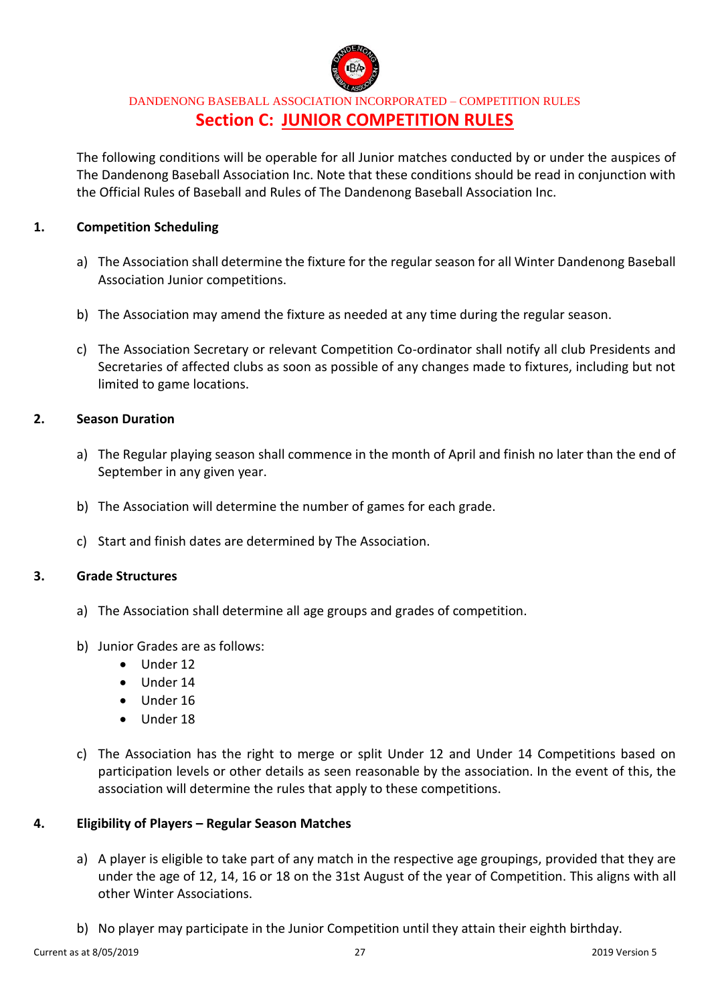

## DANDENONG BASEBALL ASSOCIATION INCORPORATED – COMPETITION RULES **Section C: JUNIOR COMPETITION RULES**

The following conditions will be operable for all Junior matches conducted by or under the auspices of The Dandenong Baseball Association Inc. Note that these conditions should be read in conjunction with the Official Rules of Baseball and Rules of The Dandenong Baseball Association Inc.

### **1. Competition Scheduling**

- a) The Association shall determine the fixture for the regular season for all Winter Dandenong Baseball Association Junior competitions.
- b) The Association may amend the fixture as needed at any time during the regular season.
- c) The Association Secretary or relevant Competition Co-ordinator shall notify all club Presidents and Secretaries of affected clubs as soon as possible of any changes made to fixtures, including but not limited to game locations.

### **2. Season Duration**

- a) The Regular playing season shall commence in the month of April and finish no later than the end of September in any given year.
- b) The Association will determine the number of games for each grade.
- c) Start and finish dates are determined by The Association.

### **3. Grade Structures**

- a) The Association shall determine all age groups and grades of competition.
- b) Junior Grades are as follows:
	- Under 12
	- Under 14
	- Under 16
	- Under 18
- c) The Association has the right to merge or split Under 12 and Under 14 Competitions based on participation levels or other details as seen reasonable by the association. In the event of this, the association will determine the rules that apply to these competitions.

### **4. Eligibility of Players – Regular Season Matches**

- a) A player is eligible to take part of any match in the respective age groupings, provided that they are under the age of 12, 14, 16 or 18 on the 31st August of the year of Competition. This aligns with all other Winter Associations.
- b) No player may participate in the Junior Competition until they attain their eighth birthday.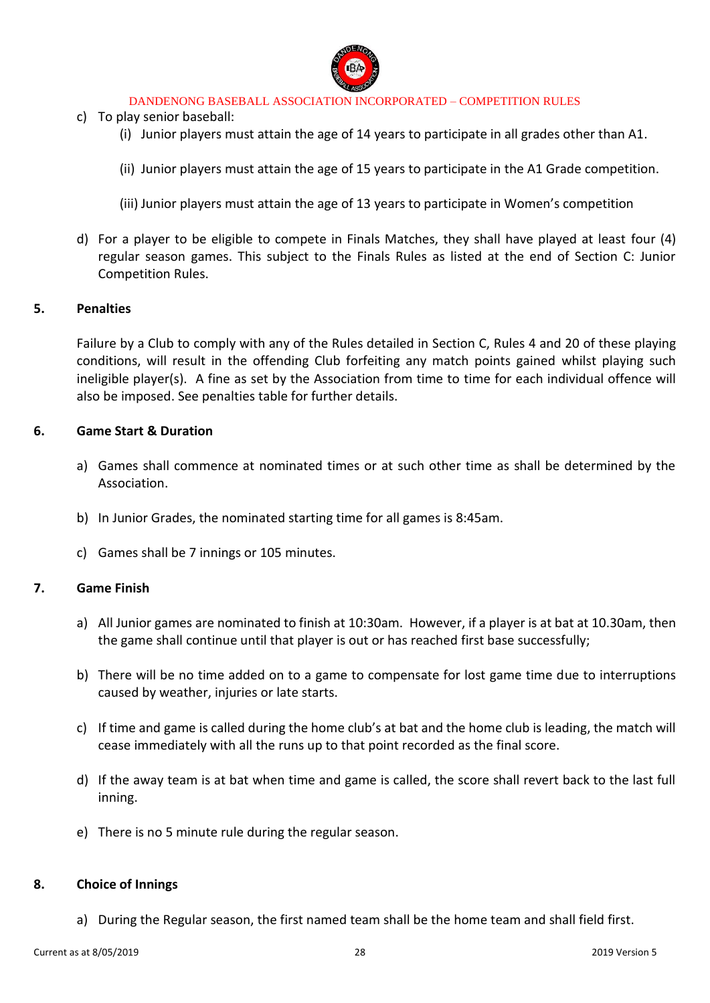

- c) To play senior baseball:
	- (i) Junior players must attain the age of 14 years to participate in all grades other than A1.
	- (ii) Junior players must attain the age of 15 years to participate in the A1 Grade competition.
	- (iii) Junior players must attain the age of 13 years to participate in Women's competition
- d) For a player to be eligible to compete in Finals Matches, they shall have played at least four (4) regular season games. This subject to the Finals Rules as listed at the end of Section C: Junior Competition Rules.

#### **5. Penalties**

Failure by a Club to comply with any of the Rules detailed in Section C, Rules 4 and 20 of these playing conditions, will result in the offending Club forfeiting any match points gained whilst playing such ineligible player(s). A fine as set by the Association from time to time for each individual offence will also be imposed. See penalties table for further details.

#### **6. Game Start & Duration**

- a) Games shall commence at nominated times or at such other time as shall be determined by the Association.
- b) In Junior Grades, the nominated starting time for all games is 8:45am.
- c) Games shall be 7 innings or 105 minutes.

### **7. Game Finish**

- a) All Junior games are nominated to finish at 10:30am. However, if a player is at bat at 10.30am, then the game shall continue until that player is out or has reached first base successfully;
- b) There will be no time added on to a game to compensate for lost game time due to interruptions caused by weather, injuries or late starts.
- c) If time and game is called during the home club's at bat and the home club is leading, the match will cease immediately with all the runs up to that point recorded as the final score.
- d) If the away team is at bat when time and game is called, the score shall revert back to the last full inning.
- e) There is no 5 minute rule during the regular season.

### **8. Choice of Innings**

a) During the Regular season, the first named team shall be the home team and shall field first.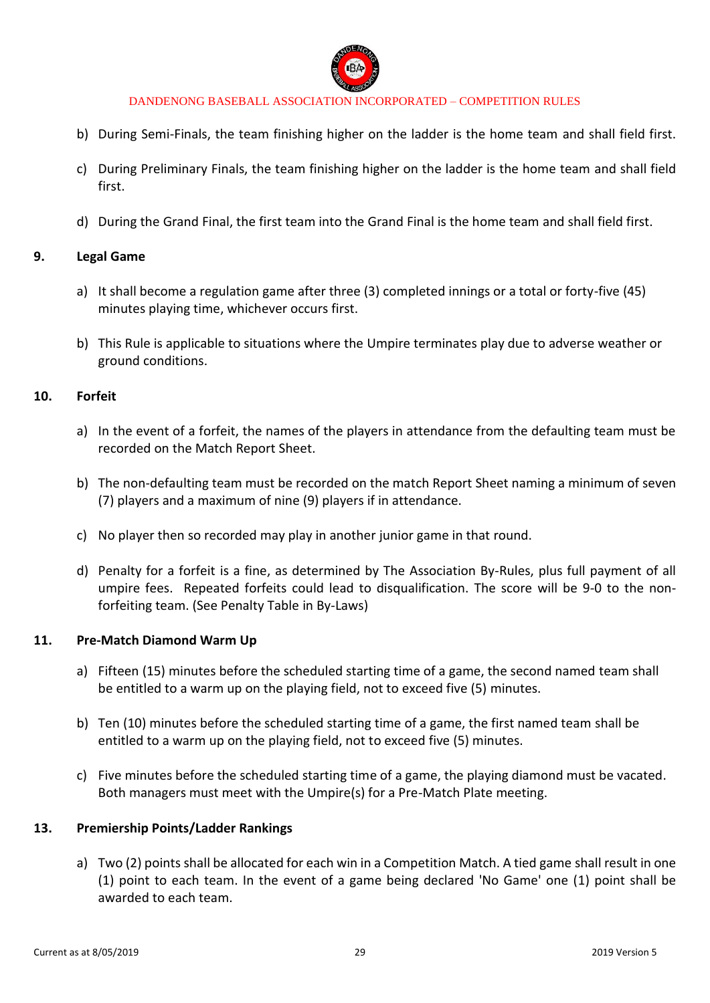

- b) During Semi-Finals, the team finishing higher on the ladder is the home team and shall field first.
- c) During Preliminary Finals, the team finishing higher on the ladder is the home team and shall field first.
- d) During the Grand Final, the first team into the Grand Final is the home team and shall field first.

### **9. Legal Game**

- a) It shall become a regulation game after three (3) completed innings or a total or forty-five (45) minutes playing time, whichever occurs first.
- b) This Rule is applicable to situations where the Umpire terminates play due to adverse weather or ground conditions.

#### **10. Forfeit**

- a) In the event of a forfeit, the names of the players in attendance from the defaulting team must be recorded on the Match Report Sheet.
- b) The non-defaulting team must be recorded on the match Report Sheet naming a minimum of seven (7) players and a maximum of nine (9) players if in attendance.
- c) No player then so recorded may play in another junior game in that round.
- d) Penalty for a forfeit is a fine, as determined by The Association By-Rules, plus full payment of all umpire fees. Repeated forfeits could lead to disqualification. The score will be 9-0 to the nonforfeiting team. (See Penalty Table in By-Laws)

#### **11. Pre-Match Diamond Warm Up**

- a) Fifteen (15) minutes before the scheduled starting time of a game, the second named team shall be entitled to a warm up on the playing field, not to exceed five (5) minutes.
- b) Ten (10) minutes before the scheduled starting time of a game, the first named team shall be entitled to a warm up on the playing field, not to exceed five (5) minutes.
- c) Five minutes before the scheduled starting time of a game, the playing diamond must be vacated. Both managers must meet with the Umpire(s) for a Pre-Match Plate meeting.

#### **13. Premiership Points/Ladder Rankings**

a) Two (2) points shall be allocated for each win in a Competition Match. A tied game shall result in one (1) point to each team. In the event of a game being declared 'No Game' one (1) point shall be awarded to each team.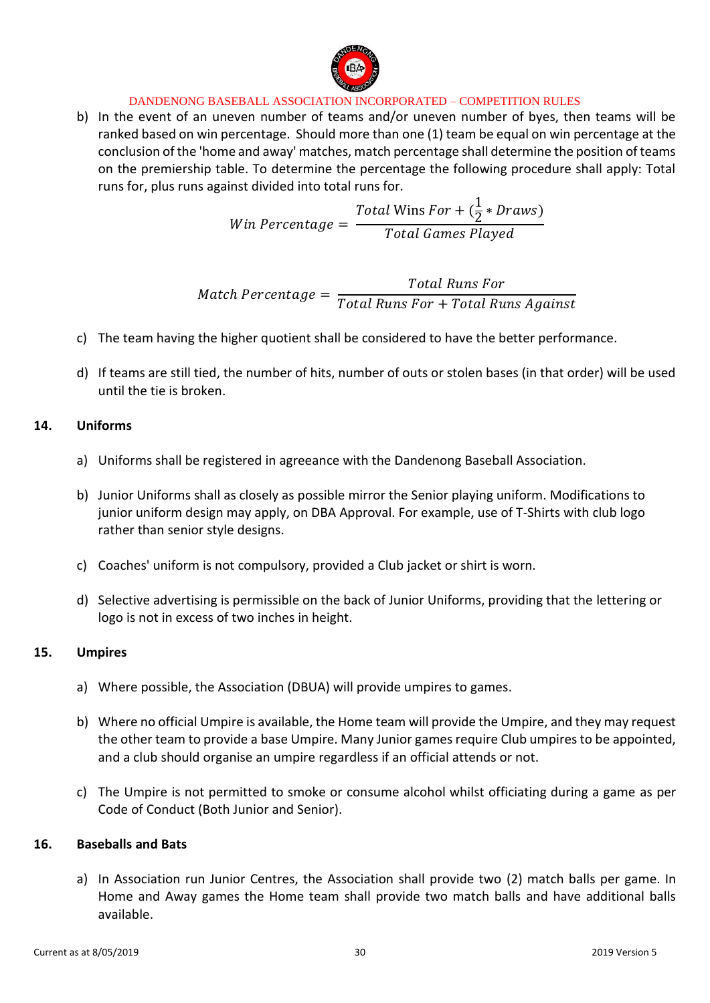

b) In the event of an uneven number of teams and/or uneven number of byes, then teams will be ranked based on win percentage. Should more than one (1) team be equal on win percentage at the conclusion of the 'home and away' matches, match percentage shall determine the position of teams on the premiership table. To determine the percentage the following procedure shall apply: Total runs for, plus runs against divided into total runs for.

$$
Win\,Percentage = \frac{Total\,Wins\,For + (\frac{1}{2} * Draws)}{Total\, Games\,Player}
$$

 $Match$   $Percentage =$ Total Runs For Total Runs For + Total Runs Against

- c) The team having the higher quotient shall be considered to have the better performance.
- d) If teams are still tied, the number of hits, number of outs or stolen bases (in that order) will be used until the tie is broken.

### **14. Uniforms**

- a) Uniforms shall be registered in agreeance with the Dandenong Baseball Association.
- b) Junior Uniforms shall as closely as possible mirror the Senior playing uniform. Modifications to junior uniform design may apply, on DBA Approval. For example, use of T-Shirts with club logo rather than senior style designs.
- c) Coaches' uniform is not compulsory, provided a Club jacket or shirt is worn.
- d) Selective advertising is permissible on the back of Junior Uniforms, providing that the lettering or logo is not in excess of two inches in height.

### **15. Umpires**

- a) Where possible, the Association (DBUA) will provide umpires to games.
- b) Where no official Umpire is available, the Home team will provide the Umpire, and they may request the other team to provide a base Umpire. Many Junior games require Club umpires to be appointed, and a club should organise an umpire regardless if an official attends or not.
- c) The Umpire is not permitted to smoke or consume alcohol whilst officiating during a game as per Code of Conduct (Both Junior and Senior).

### **16. Baseballs and Bats**

a) In Association run Junior Centres, the Association shall provide two (2) match balls per game. In Home and Away games the Home team shall provide two match balls and have additional balls available.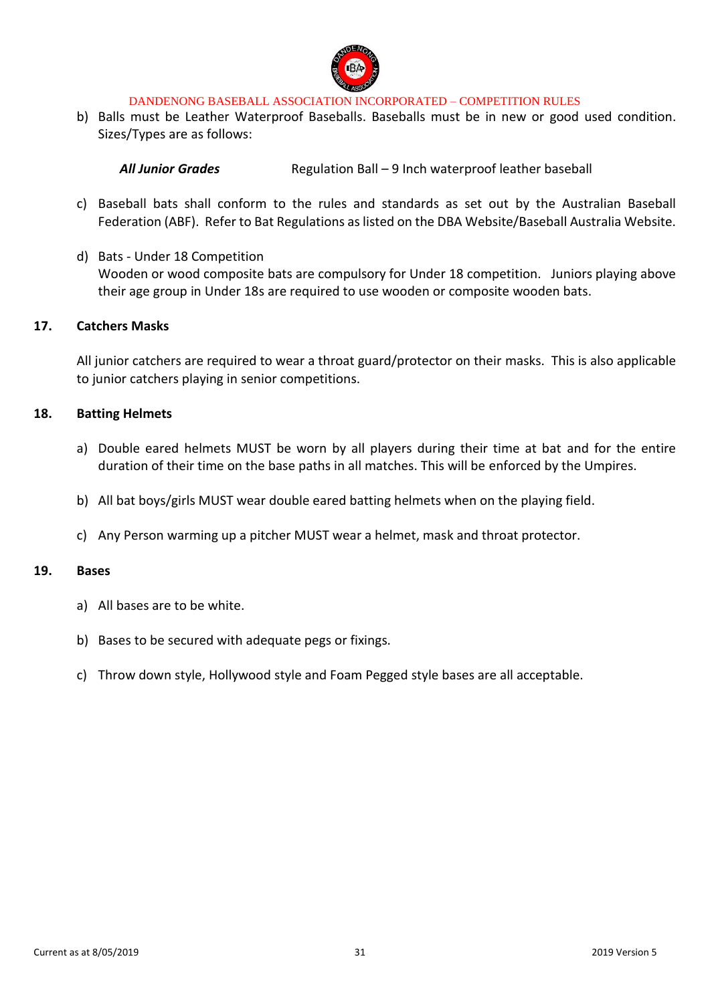

b) Balls must be Leather Waterproof Baseballs. Baseballs must be in new or good used condition. Sizes/Types are as follows:

All Junior Grades **Regulation Ball – 9 Inch waterproof leather baseball** 

- c) Baseball bats shall conform to the rules and standards as set out by the Australian Baseball Federation (ABF). Refer to Bat Regulations as listed on the DBA Website/Baseball Australia Website.
- d) Bats Under 18 Competition Wooden or wood composite bats are compulsory for Under 18 competition. Juniors playing above their age group in Under 18s are required to use wooden or composite wooden bats.

#### **17. Catchers Masks**

All junior catchers are required to wear a throat guard/protector on their masks. This is also applicable to junior catchers playing in senior competitions.

### **18. Batting Helmets**

- a) Double eared helmets MUST be worn by all players during their time at bat and for the entire duration of their time on the base paths in all matches. This will be enforced by the Umpires.
- b) All bat boys/girls MUST wear double eared batting helmets when on the playing field.
- c) Any Person warming up a pitcher MUST wear a helmet, mask and throat protector.

### **19. Bases**

- a) All bases are to be white.
- b) Bases to be secured with adequate pegs or fixings.
- c) Throw down style, Hollywood style and Foam Pegged style bases are all acceptable.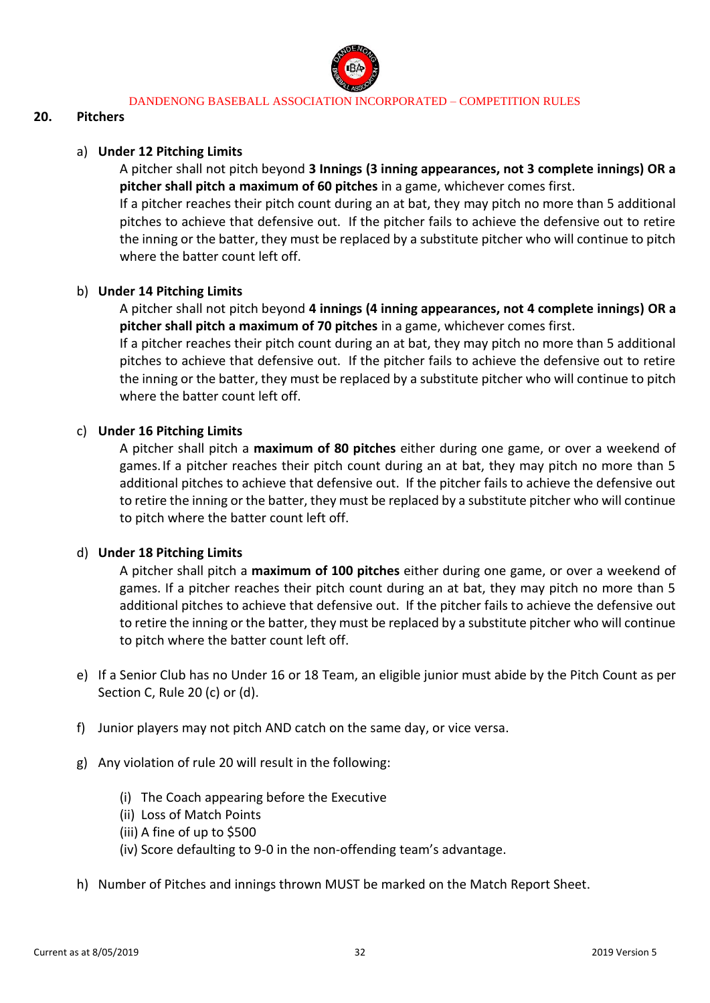

### **20. Pitchers**

### a) **Under 12 Pitching Limits**

A pitcher shall not pitch beyond **3 Innings (3 inning appearances, not 3 complete innings) OR a pitcher shall pitch a maximum of 60 pitches** in a game, whichever comes first.

If a pitcher reaches their pitch count during an at bat, they may pitch no more than 5 additional pitches to achieve that defensive out. If the pitcher fails to achieve the defensive out to retire the inning or the batter, they must be replaced by a substitute pitcher who will continue to pitch where the batter count left off.

### b) **Under 14 Pitching Limits**

A pitcher shall not pitch beyond **4 innings (4 inning appearances, not 4 complete innings) OR a pitcher shall pitch a maximum of 70 pitches** in a game, whichever comes first.

If a pitcher reaches their pitch count during an at bat, they may pitch no more than 5 additional pitches to achieve that defensive out. If the pitcher fails to achieve the defensive out to retire the inning or the batter, they must be replaced by a substitute pitcher who will continue to pitch where the batter count left off.

### c) **Under 16 Pitching Limits**

A pitcher shall pitch a **maximum of 80 pitches** either during one game, or over a weekend of games.If a pitcher reaches their pitch count during an at bat, they may pitch no more than 5 additional pitches to achieve that defensive out. If the pitcher fails to achieve the defensive out to retire the inning or the batter, they must be replaced by a substitute pitcher who will continue to pitch where the batter count left off.

### d) **Under 18 Pitching Limits**

A pitcher shall pitch a **maximum of 100 pitches** either during one game, or over a weekend of games. If a pitcher reaches their pitch count during an at bat, they may pitch no more than 5 additional pitches to achieve that defensive out. If the pitcher fails to achieve the defensive out to retire the inning or the batter, they must be replaced by a substitute pitcher who will continue to pitch where the batter count left off.

- e) If a Senior Club has no Under 16 or 18 Team, an eligible junior must abide by the Pitch Count as per Section C, Rule 20 (c) or (d).
- f) Junior players may not pitch AND catch on the same day, or vice versa.
- g) Any violation of rule 20 will result in the following:
	- (i) The Coach appearing before the Executive
	- (ii) Loss of Match Points
	- (iii) A fine of up to \$500
	- (iv) Score defaulting to 9-0 in the non-offending team's advantage.
- h) Number of Pitches and innings thrown MUST be marked on the Match Report Sheet.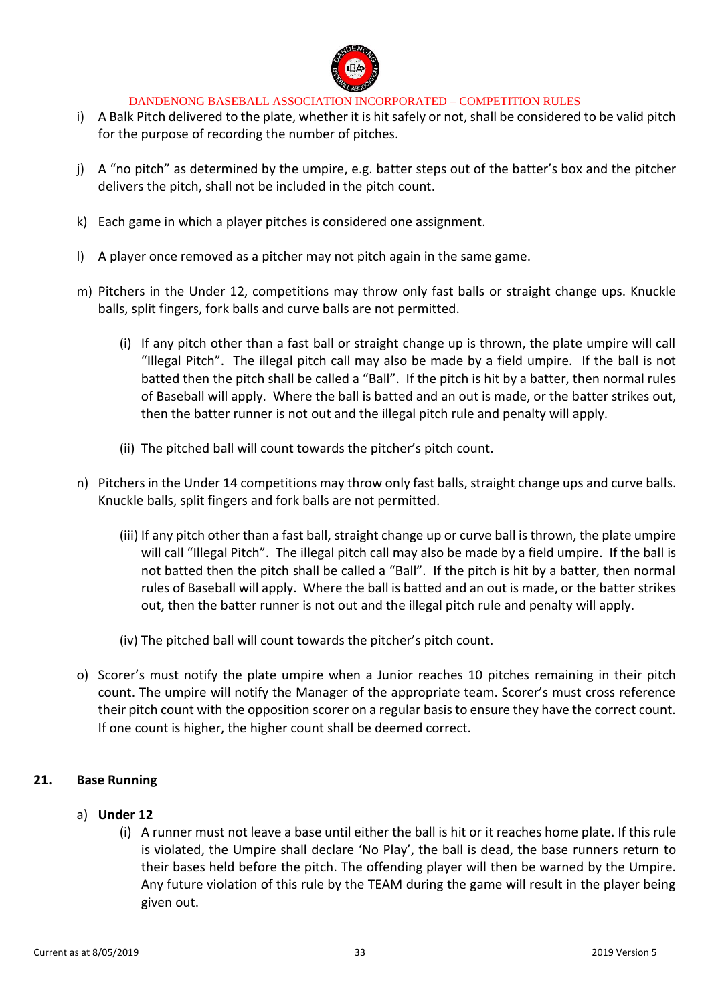

- i) A Balk Pitch delivered to the plate, whether it is hit safely or not, shall be considered to be valid pitch for the purpose of recording the number of pitches.
- j) A "no pitch" as determined by the umpire, e.g. batter steps out of the batter's box and the pitcher delivers the pitch, shall not be included in the pitch count.
- k) Each game in which a player pitches is considered one assignment.
- l) A player once removed as a pitcher may not pitch again in the same game.
- m) Pitchers in the Under 12, competitions may throw only fast balls or straight change ups. Knuckle balls, split fingers, fork balls and curve balls are not permitted.
	- (i) If any pitch other than a fast ball or straight change up is thrown, the plate umpire will call "Illegal Pitch". The illegal pitch call may also be made by a field umpire. If the ball is not batted then the pitch shall be called a "Ball". If the pitch is hit by a batter, then normal rules of Baseball will apply. Where the ball is batted and an out is made, or the batter strikes out, then the batter runner is not out and the illegal pitch rule and penalty will apply.
	- (ii) The pitched ball will count towards the pitcher's pitch count.
- n) Pitchers in the Under 14 competitions may throw only fast balls, straight change ups and curve balls. Knuckle balls, split fingers and fork balls are not permitted.
	- (iii) If any pitch other than a fast ball, straight change up or curve ball is thrown, the plate umpire will call "Illegal Pitch". The illegal pitch call may also be made by a field umpire. If the ball is not batted then the pitch shall be called a "Ball". If the pitch is hit by a batter, then normal rules of Baseball will apply. Where the ball is batted and an out is made, or the batter strikes out, then the batter runner is not out and the illegal pitch rule and penalty will apply.
	- (iv) The pitched ball will count towards the pitcher's pitch count.
- o) Scorer's must notify the plate umpire when a Junior reaches 10 pitches remaining in their pitch count. The umpire will notify the Manager of the appropriate team. Scorer's must cross reference their pitch count with the opposition scorer on a regular basis to ensure they have the correct count. If one count is higher, the higher count shall be deemed correct.

### **21. Base Running**

- a) **Under 12**
	- (i) A runner must not leave a base until either the ball is hit or it reaches home plate. If this rule is violated, the Umpire shall declare 'No Play', the ball is dead, the base runners return to their bases held before the pitch. The offending player will then be warned by the Umpire. Any future violation of this rule by the TEAM during the game will result in the player being given out.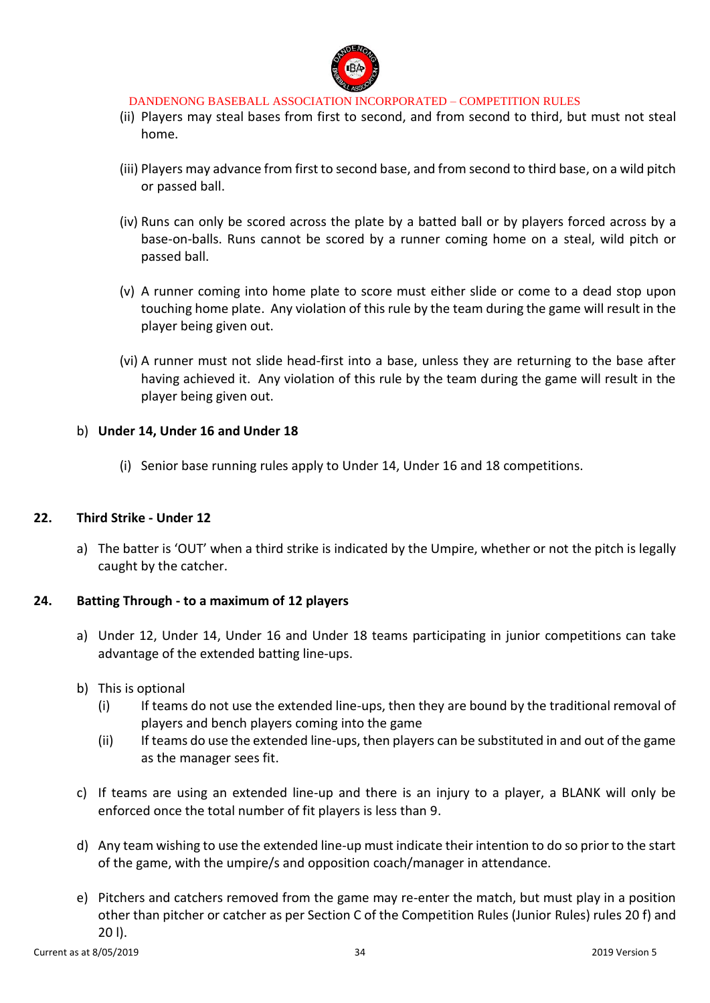

- (ii) Players may steal bases from first to second, and from second to third, but must not steal home.
- (iii) Players may advance from first to second base, and from second to third base, on a wild pitch or passed ball.
- (iv) Runs can only be scored across the plate by a batted ball or by players forced across by a base-on-balls. Runs cannot be scored by a runner coming home on a steal, wild pitch or passed ball.
- (v) A runner coming into home plate to score must either slide or come to a dead stop upon touching home plate. Any violation of this rule by the team during the game will result in the player being given out.
- (vi) A runner must not slide head-first into a base, unless they are returning to the base after having achieved it. Any violation of this rule by the team during the game will result in the player being given out.

### b) **Under 14, Under 16 and Under 18**

(i) Senior base running rules apply to Under 14, Under 16 and 18 competitions.

### **22. Third Strike - Under 12**

a) The batter is 'OUT' when a third strike is indicated by the Umpire, whether or not the pitch is legally caught by the catcher.

### **24. Batting Through - to a maximum of 12 players**

- a) Under 12, Under 14, Under 16 and Under 18 teams participating in junior competitions can take advantage of the extended batting line-ups.
- b) This is optional
	- (i) If teams do not use the extended line-ups, then they are bound by the traditional removal of players and bench players coming into the game
	- (ii) If teams do use the extended line-ups, then players can be substituted in and out of the game as the manager sees fit.
- c) If teams are using an extended line-up and there is an injury to a player, a BLANK will only be enforced once the total number of fit players is less than 9.
- d) Any team wishing to use the extended line-up must indicate their intention to do so prior to the start of the game, with the umpire/s and opposition coach/manager in attendance.
- e) Pitchers and catchers removed from the game may re-enter the match, but must play in a position other than pitcher or catcher as per Section C of the Competition Rules (Junior Rules) rules 20 f) and 20 l).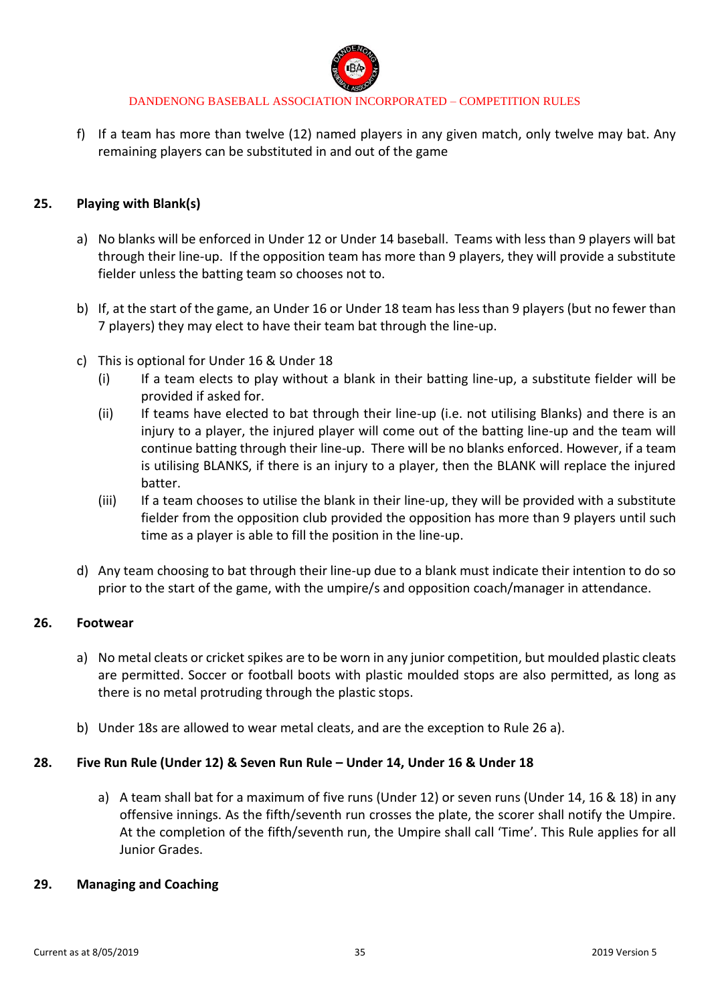

f) If a team has more than twelve (12) named players in any given match, only twelve may bat. Any remaining players can be substituted in and out of the game

### **25. Playing with Blank(s)**

- a) No blanks will be enforced in Under 12 or Under 14 baseball. Teams with less than 9 players will bat through their line-up. If the opposition team has more than 9 players, they will provide a substitute fielder unless the batting team so chooses not to.
- b) If, at the start of the game, an Under 16 or Under 18 team has less than 9 players (but no fewer than 7 players) they may elect to have their team bat through the line-up.
- c) This is optional for Under 16 & Under 18
	- (i) If a team elects to play without a blank in their batting line-up, a substitute fielder will be provided if asked for.
	- (ii) If teams have elected to bat through their line-up (i.e. not utilising Blanks) and there is an injury to a player, the injured player will come out of the batting line-up and the team will continue batting through their line-up. There will be no blanks enforced. However, if a team is utilising BLANKS, if there is an injury to a player, then the BLANK will replace the injured batter.
	- (iii) If a team chooses to utilise the blank in their line-up, they will be provided with a substitute fielder from the opposition club provided the opposition has more than 9 players until such time as a player is able to fill the position in the line-up.
- d) Any team choosing to bat through their line-up due to a blank must indicate their intention to do so prior to the start of the game, with the umpire/s and opposition coach/manager in attendance.

### **26. Footwear**

- a) No metal cleats or cricket spikes are to be worn in any junior competition, but moulded plastic cleats are permitted. Soccer or football boots with plastic moulded stops are also permitted, as long as there is no metal protruding through the plastic stops.
- b) Under 18s are allowed to wear metal cleats, and are the exception to Rule 26 a).

### **28. Five Run Rule (Under 12) & Seven Run Rule – Under 14, Under 16 & Under 18**

a) A team shall bat for a maximum of five runs (Under 12) or seven runs (Under 14, 16 & 18) in any offensive innings. As the fifth/seventh run crosses the plate, the scorer shall notify the Umpire. At the completion of the fifth/seventh run, the Umpire shall call 'Time'. This Rule applies for all Junior Grades.

### **29. Managing and Coaching**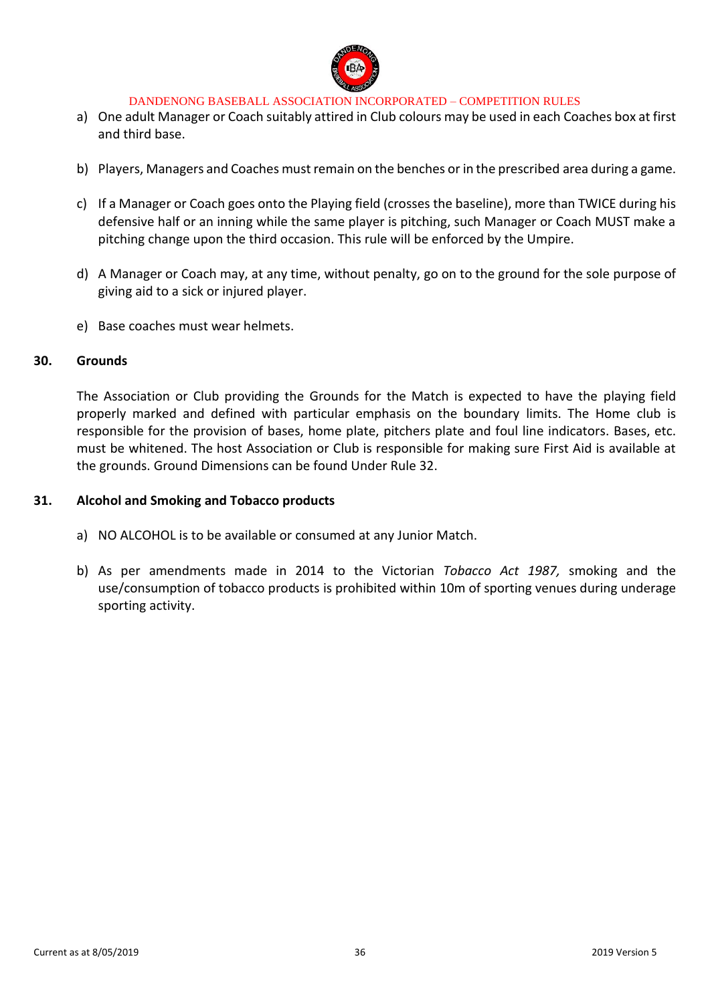

- a) One adult Manager or Coach suitably attired in Club colours may be used in each Coaches box at first and third base.
- b) Players, Managers and Coaches must remain on the benches or in the prescribed area during a game.
- c) If a Manager or Coach goes onto the Playing field (crosses the baseline), more than TWICE during his defensive half or an inning while the same player is pitching, such Manager or Coach MUST make a pitching change upon the third occasion. This rule will be enforced by the Umpire.
- d) A Manager or Coach may, at any time, without penalty, go on to the ground for the sole purpose of giving aid to a sick or injured player.
- e) Base coaches must wear helmets.

#### **30. Grounds**

The Association or Club providing the Grounds for the Match is expected to have the playing field properly marked and defined with particular emphasis on the boundary limits. The Home club is responsible for the provision of bases, home plate, pitchers plate and foul line indicators. Bases, etc. must be whitened. The host Association or Club is responsible for making sure First Aid is available at the grounds. Ground Dimensions can be found Under Rule 32.

#### **31. Alcohol and Smoking and Tobacco products**

- a) NO ALCOHOL is to be available or consumed at any Junior Match.
- b) As per amendments made in 2014 to the Victorian *Tobacco Act 1987,* smoking and the use/consumption of tobacco products is prohibited within 10m of sporting venues during underage sporting activity.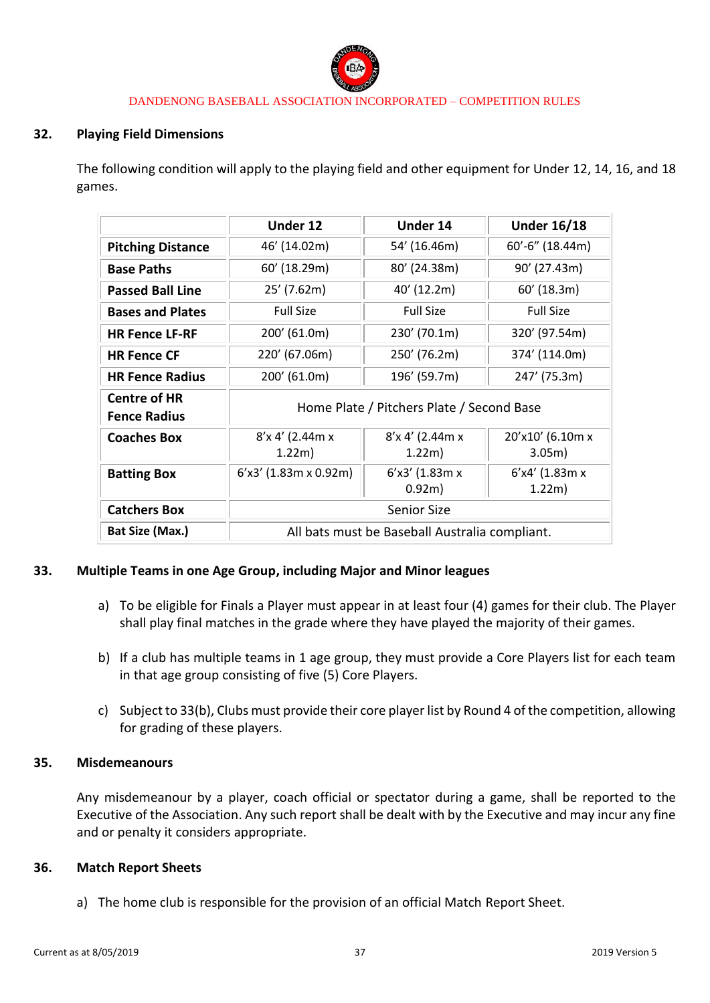

#### **32. Playing Field Dimensions**

The following condition will apply to the playing field and other equipment for Under 12, 14, 16, and 18 games.

|                                            | Under 12                                       | Under 14           | <b>Under 16/18</b> |
|--------------------------------------------|------------------------------------------------|--------------------|--------------------|
| <b>Pitching Distance</b>                   | 46' (14.02m)                                   | 54' (16.46m)       | 60'-6" (18.44m)    |
| <b>Base Paths</b>                          | 60' (18.29m)                                   | 80' (24.38m)       | 90' (27.43m)       |
| <b>Passed Ball Line</b>                    | 25' (7.62m)                                    | 40' (12.2m)        | $60'$ (18.3m)      |
| <b>Bases and Plates</b>                    | <b>Full Size</b>                               | <b>Full Size</b>   | <b>Full Size</b>   |
| <b>HR Fence LF-RF</b>                      | 200' (61.0m)                                   | 230' (70.1m)       | 320' (97.54m)      |
| <b>HR Fence CF</b>                         | 220' (67.06m)                                  | 250' (76.2m)       | 374' (114.0m)      |
| <b>HR Fence Radius</b>                     | 200' (61.0m)                                   | 196' (59.7m)       | 247' (75.3m)       |
| <b>Centre of HR</b><br><b>Fence Radius</b> | Home Plate / Pitchers Plate / Second Base      |                    |                    |
| <b>Coaches Box</b>                         | $8'$ x 4' (2.44m x                             | $8'$ x 4' (2.44m x | 20'x10' (6.10m x   |
|                                            | 1.22m)                                         | 1.22m)             | 3.05m)             |
| <b>Batting Box</b>                         | $6'$ x3' (1.83m x 0.92m)                       | $6'x3'$ (1.83m x   | $6'$ x4' (1.83m x  |
|                                            |                                                | 0.92m)             | 1.22m)             |
| <b>Catchers Box</b>                        | <b>Senior Size</b>                             |                    |                    |
| Bat Size (Max.)                            | All bats must be Baseball Australia compliant. |                    |                    |

### **33. Multiple Teams in one Age Group, including Major and Minor leagues**

- a) To be eligible for Finals a Player must appear in at least four (4) games for their club. The Player shall play final matches in the grade where they have played the majority of their games.
- b) If a club has multiple teams in 1 age group, they must provide a Core Players list for each team in that age group consisting of five (5) Core Players.
- c) Subject to 33(b), Clubs must provide their core player list by Round 4 of the competition, allowing for grading of these players.

#### **35. Misdemeanours**

Any misdemeanour by a player, coach official or spectator during a game, shall be reported to the Executive of the Association. Any such report shall be dealt with by the Executive and may incur any fine and or penalty it considers appropriate.

#### **36. Match Report Sheets**

a) The home club is responsible for the provision of an official Match Report Sheet.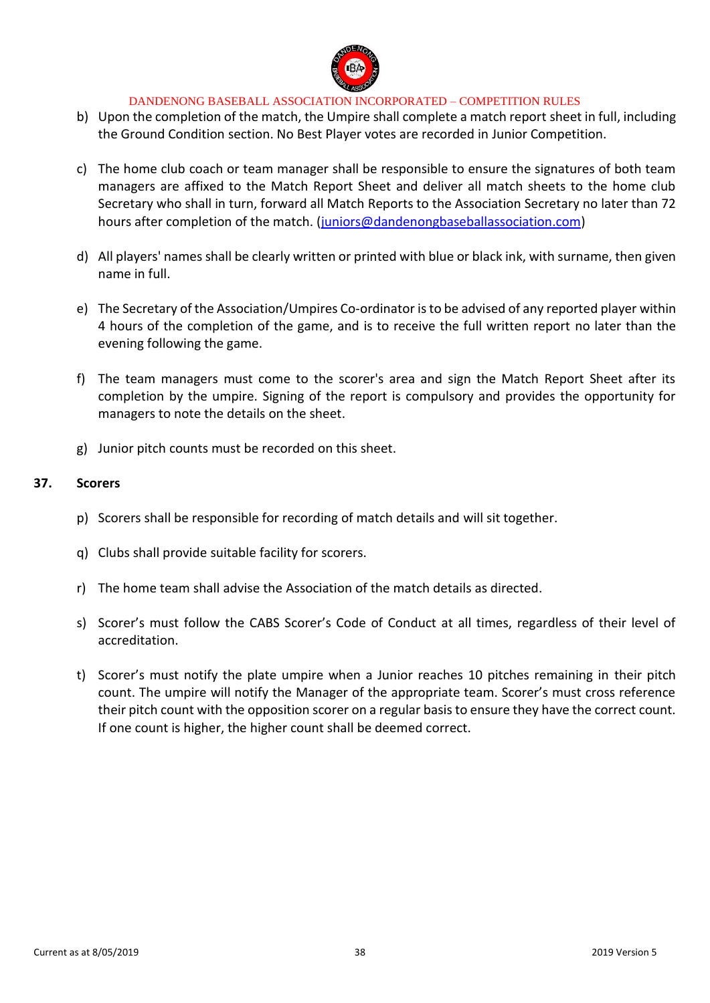

- b) Upon the completion of the match, the Umpire shall complete a match report sheet in full, including the Ground Condition section. No Best Player votes are recorded in Junior Competition.
- c) The home club coach or team manager shall be responsible to ensure the signatures of both team managers are affixed to the Match Report Sheet and deliver all match sheets to the home club Secretary who shall in turn, forward all Match Reports to the Association Secretary no later than 72 hours after completion of the match. [\(juniors@dandenongbaseballassociation.com\)](mailto:juniors@dandenongbaseballassociation.com)
- d) All players' names shall be clearly written or printed with blue or black ink, with surname, then given name in full.
- e) The Secretary of the Association/Umpires Co-ordinator is to be advised of any reported player within 4 hours of the completion of the game, and is to receive the full written report no later than the evening following the game.
- f) The team managers must come to the scorer's area and sign the Match Report Sheet after its completion by the umpire. Signing of the report is compulsory and provides the opportunity for managers to note the details on the sheet.
- g) Junior pitch counts must be recorded on this sheet.

### **37. Scorers**

- p) Scorers shall be responsible for recording of match details and will sit together.
- q) Clubs shall provide suitable facility for scorers.
- r) The home team shall advise the Association of the match details as directed.
- s) Scorer's must follow the CABS Scorer's Code of Conduct at all times, regardless of their level of accreditation.
- t) Scorer's must notify the plate umpire when a Junior reaches 10 pitches remaining in their pitch count. The umpire will notify the Manager of the appropriate team. Scorer's must cross reference their pitch count with the opposition scorer on a regular basis to ensure they have the correct count. If one count is higher, the higher count shall be deemed correct.